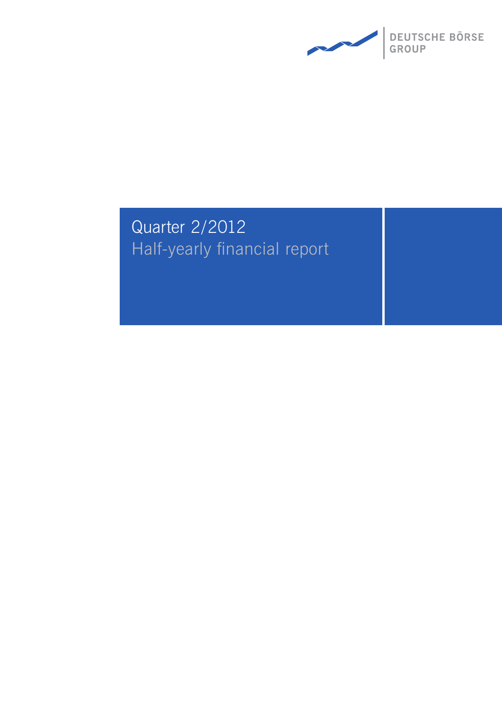

# Quarter 2/2012 Half-yearly financial report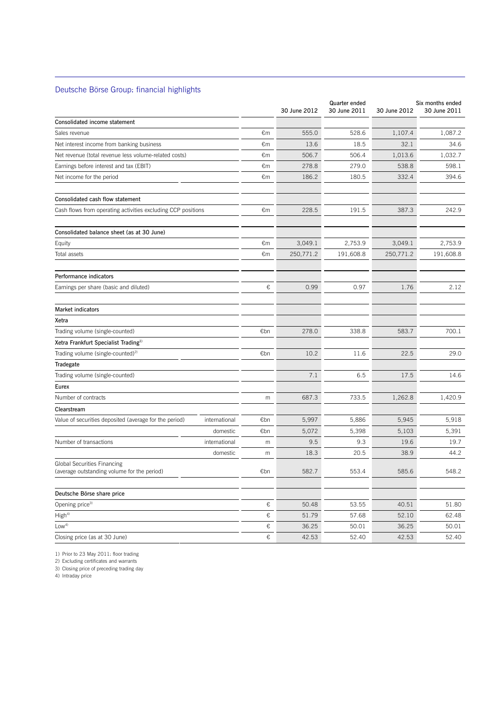## Deutsche Börse Group: financial highlights

 $\overline{a}$ 

|                                                                            |       | 30 June 2012 | Quarter ended<br>30 June 2011 | 30 June 2012 | Six months ended<br>30 June 2011 |
|----------------------------------------------------------------------------|-------|--------------|-------------------------------|--------------|----------------------------------|
| Consolidated income statement                                              |       |              |                               |              |                                  |
| Sales revenue                                                              | €m    | 555.0        | 528.6                         | 1,107.4      | 1,087.2                          |
| Net interest income from banking business                                  | €m    | 13.6         | 18.5                          | 32.1         | 34.6                             |
| Net revenue (total revenue less volume-related costs)                      | €m    | 506.7        | 506.4                         | 1,013.6      | 1,032.7                          |
| Earnings before interest and tax (EBIT)                                    | €m    | 278.8        | 279.0                         | 538.8        | 598.1                            |
| Net income for the period                                                  | €m    | 186.2        | 180.5                         | 332.4        | 394.6                            |
| Consolidated cash flow statement                                           |       |              |                               |              |                                  |
| Cash flows from operating activities excluding CCP positions               | €m    | 228.5        | 191.5                         | 387.3        | 242.9                            |
| Consolidated balance sheet (as at 30 June)                                 |       |              |                               |              |                                  |
| Equity                                                                     | €m    | 3,049.1      | 2,753.9                       | 3,049.1      | 2,753.9                          |
| Total assets                                                               | €m    | 250,771.2    | 191,608.8                     | 250,771.2    | 191,608.8                        |
| Performance indicators                                                     |       |              |                               |              |                                  |
| Earnings per share (basic and diluted)                                     | €     | 0.99         | 0.97                          | 1.76         | 2.12                             |
| <b>Market indicators</b>                                                   |       |              |                               |              |                                  |
| Xetra                                                                      |       |              |                               |              |                                  |
| Trading volume (single-counted)                                            | €bn   | 278.0        | 338.8                         | 583.7        | 700.1                            |
| Xetra Frankfurt Specialist Trading <sup>1)</sup>                           |       |              |                               |              |                                  |
| Trading volume (single-counted) <sup>2)</sup>                              | €bn   | 10.2         | 11.6                          | 22.5         | 29.0                             |
| Tradegate                                                                  |       |              |                               |              |                                  |
| Trading volume (single-counted)                                            |       | 7.1          | 6.5                           | 17.5         | 14.6                             |
| Eurex                                                                      |       |              |                               |              |                                  |
| Number of contracts                                                        | m     | 687.3        | 733.5                         | 1,262.8      | 1,420.9                          |
| Clearstream                                                                |       |              |                               |              |                                  |
| Value of securities deposited (average for the period)<br>international    | €bn   | 5,997        | 5,886                         | 5,945        | 5,918                            |
| domestic                                                                   | €bn   | 5,072        | 5,398                         | 5,103        | 5,391                            |
| Number of transactions<br>international                                    | m     | 9.5          | 9.3                           | 19.6         | 19.7                             |
| domestic                                                                   | m     | 18.3         | 20.5                          | 38.9         | 44.2                             |
| Global Securities Financing<br>(average outstanding volume for the period) | €bn   | 582.7        | 553.4                         | 585.6        | 548.2                            |
| Deutsche Börse share price                                                 |       |              |                               |              |                                  |
| Opening price <sup>3)</sup>                                                | €     | 50.48        | 53.55                         | 40.51        | 51.80                            |
| High <sup>4</sup>                                                          | €     | 51.79        | 57.68                         | 52.10        | 62.48                            |
| Low <sup>4</sup>                                                           | €     | 36.25        | 50.01                         | 36.25        | 50.01                            |
| Closing price (as at 30 June)                                              | $\in$ | 42.53        | 52.40                         | 42.53        | 52.40                            |

1) Prior to 23 May 2011: floor trading

2) Excluding certificates and warrants

3) Closing price of preceding trading day

4) Intraday price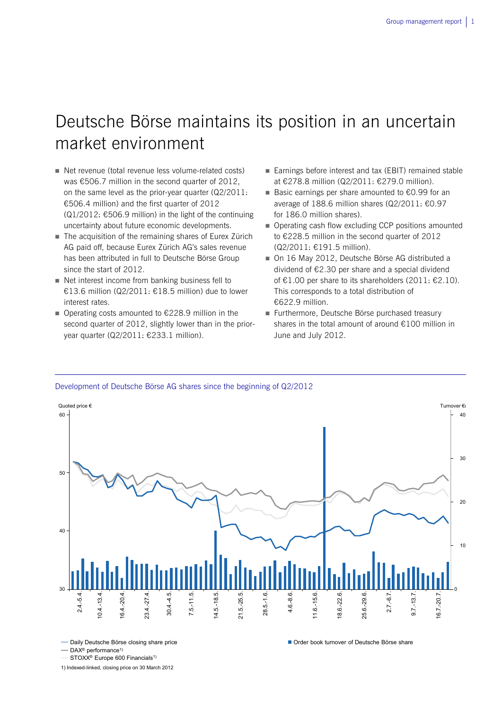## Deutsche Börse maintains its position in an uncertain market environment

- Net revenue (total revenue less volume-related costs) was €506.7 million in the second quarter of 2012, on the same level as the prior-year quarter (Q2/2011: €506.4 million) and the first quarter of 2012  $(Q1/2012: \text{£}506.9$  million) in the light of the continuing uncertainty about future economic developments.
- The acquisition of the remaining shares of Eurex Zürich AG paid off, because Eurex Zürich AG's sales revenue has been attributed in full to Deutsche Börse Group since the start of 2012.
- Net interest income from banking business fell to €13.6 million (Q2/2011: €18.5 million) due to lower interest rates.
- Operating costs amounted to  $€228.9$  million in the second quarter of 2012, slightly lower than in the prioryear quarter (Q2/2011: €233.1 million).
- Earnings before interest and tax (EBIT) remained stable at €278.8 million (Q2/2011: €279.0 million).
- Basic earnings per share amounted to €0.99 for an average of 188.6 million shares (Q2/2011: €0.97 for 186.0 million shares).
- **Operating cash flow excluding CCP positions amounted** to €228.5 million in the second quarter of 2012 (Q2/2011: €191.5 million).
- On 16 May 2012, Deutsche Börse AG distributed a dividend of €2.30 per share and a special dividend of €1.00 per share to its shareholders (2011: €2.10). This corresponds to a total distribution of €622.9 million.
- Furthermore, Deutsche Börse purchased treasury shares in the total amount of around €100 million in June and July 2012.

### Development of Deutsche Börse AG shares since the beginning of Q2/2012



1) Indexed-linked, closing price on 30 March 2012

 $-$  DAX<sup>®</sup> performance<sup>1)</sup>

STOXX<sup>®</sup> Europe 600 Financials<sup>1)</sup>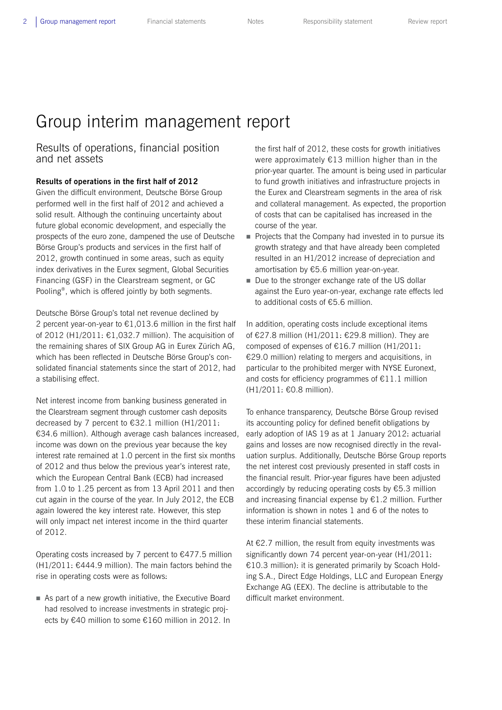### 2 Group management report Financial statements Notes Responsibility statement Review report

## Group interim management report

## Results of operations, financial position and net assets

## **Results of operations in the first half of 2012**

Given the difficult environment, Deutsche Börse Group performed well in the first half of 2012 and achieved a solid result. Although the continuing uncertainty about future global economic development, and especially the prospects of the euro zone, dampened the use of Deutsche Börse Group's products and services in the first half of 2012, growth continued in some areas, such as equity index derivatives in the Eurex segment, Global Securities Financing (GSF) in the Clearstream segment, or GC Pooling®, which is offered jointly by both segments.

Deutsche Börse Group's total net revenue declined by 2 percent year-on-year to  $\epsilon$ 1,013.6 million in the first half of 2012 (H1/2011: €1,032.7 million). The acquisition of the remaining shares of SIX Group AG in Eurex Zürich AG, which has been reflected in Deutsche Börse Group's consolidated financial statements since the start of 2012, had a stabilising effect.

Net interest income from banking business generated in the Clearstream segment through customer cash deposits decreased by 7 percent to  $\epsilon$ 32.1 million (H1/2011: €34.6 million). Although average cash balances increased, income was down on the previous year because the key interest rate remained at 1.0 percent in the first six months of 2012 and thus below the previous year's interest rate, which the European Central Bank (ECB) had increased from 1.0 to 1.25 percent as from 13 April 2011 and then cut again in the course of the year. In July 2012, the ECB again lowered the key interest rate. However, this step will only impact net interest income in the third quarter of 2012.

Operating costs increased by 7 percent to €477.5 million  $(H1/2011: \text{£}444.9 \text{ million})$ . The main factors behind the rise in operating costs were as follows:

 As part of a new growth initiative, the Executive Board had resolved to increase investments in strategic projects by €40 million to some €160 million in 2012. In the first half of 2012, these costs for growth initiatives were approximately €13 million higher than in the prior-year quarter. The amount is being used in particular to fund growth initiatives and infrastructure projects in the Eurex and Clearstream segments in the area of risk and collateral management. As expected, the proportion of costs that can be capitalised has increased in the course of the year.

- $\blacksquare$  Projects that the Company had invested in to pursue its growth strategy and that have already been completed resulted in an H1/2012 increase of depreciation and amortisation by €5.6 million year-on-year.
- Due to the stronger exchange rate of the US dollar against the Euro year-on-year, exchange rate effects led to additional costs of €5.6 million.

In addition, operating costs include exceptional items of €27.8 million (H1/2011: €29.8 million). They are composed of expenses of €16.7 million (H1/2011: €29.0 million) relating to mergers and acquisitions, in particular to the prohibited merger with NYSE Euronext, and costs for efficiency programmes of  $E11.1$  million (H1/2011: €0.8 million).

To enhance transparency, Deutsche Börse Group revised its accounting policy for defined benefit obligations by early adoption of IAS 19 as at 1 January 2012: actuarial gains and losses are now recognised directly in the revaluation surplus. Additionally, Deutsche Börse Group reports the net interest cost previously presented in staff costs in the financial result. Prior-year figures have been adjusted accordingly by reducing operating costs by €5.3 million and increasing financial expense by €1.2 million. Further information is shown in notes 1 and 6 of the notes to these interim financial statements.

At €2.7 million, the result from equity investments was significantly down 74 percent year-on-year (H1/2011: €10.3 million): it is generated primarily by Scoach Holding S.A., Direct Edge Holdings, LLC and European Energy Exchange AG (EEX). The decline is attributable to the difficult market environment.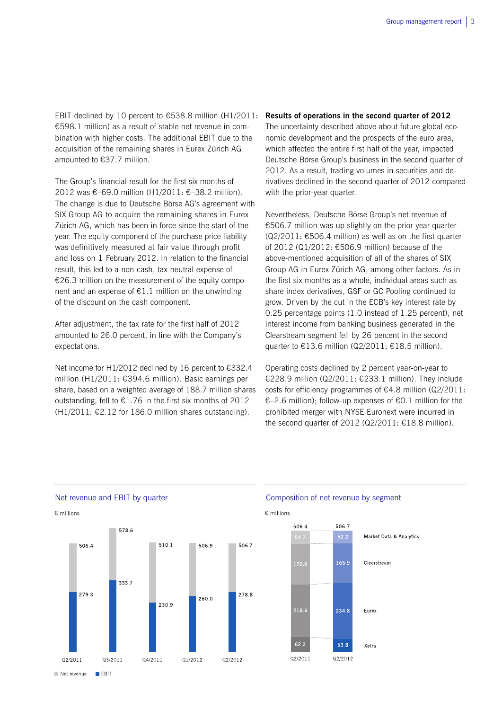EBIT declined by 10 percent to  $\epsilon$ 538.8 million (H1/2011: €598.1 million) as a result of stable net revenue in combination with higher costs. The additional EBIT due to the acquisition of the remaining shares in Eurex Zürich AG amounted to €37.7 million.

The Group's financial result for the first six months of 2012 was €–69.0 million (H1/2011: €–38.2 million). The change is due to Deutsche Börse AG's agreement with SIX Group AG to acquire the remaining shares in Eurex Zürich AG, which has been in force since the start of the year. The equity component of the purchase price liability was definitively measured at fair value through profit and loss on 1 February 2012. In relation to the financial result, this led to a non-cash, tax-neutral expense of €26.3 million on the measurement of the equity component and an expense of  $E1.1$  million on the unwinding of the discount on the cash component.

After adjustment, the tax rate for the first half of 2012 amounted to 26.0 percent, in line with the Company's expectations.

Net income for H1/2012 declined by 16 percent to €332.4 million (H1/2011: €394.6 million). Basic earnings per share, based on a weighted average of 188.7 million shares outstanding, fell to €1.76 in the first six months of 2012  $(H1/2011: €2.12$  for 186.0 million shares outstanding).

### **Results of operations in the second quarter of 2012**

The uncertainty described above about future global economic development and the prospects of the euro area, which affected the entire first half of the year, impacted Deutsche Börse Group's business in the second quarter of 2012. As a result, trading volumes in securities and derivatives declined in the second quarter of 2012 compared with the prior-year quarter.

Nevertheless, Deutsche Börse Group's net revenue of €506.7 million was up slightly on the prior-year quarter  $(Q2/2011: \text{£}506.4$  million) as well as on the first quarter of 2012 (Q1/2012: €506.9 million) because of the above-mentioned acquisition of all of the shares of SIX Group AG in Eurex Zürich AG, among other factors. As in the first six months as a whole, individual areas such as share index derivatives, GSF or GC Pooling continued to grow. Driven by the cut in the ECB's key interest rate by 0.25 percentage points (1.0 instead of 1.25 percent), net interest income from banking business generated in the Clearstream segment fell by 26 percent in the second quarter to €13.6 million (Q2/2011: €18.5 million).

Operating costs declined by 2 percent year-on-year to €228.9 million (Q2/2011: €233.1 million). They include costs for efficiency programmes of €4.8 million (Q2/2011: €–2.6 million); follow-up expenses of €0.1 million for the prohibited merger with NYSE Euronext were incurred in the second quarter of 2012 (Q2/2011: €18.8 million).



## Net revenue and EBIT by quarter The Composition of net revenue by segment



Net revenue  $F$ FBIT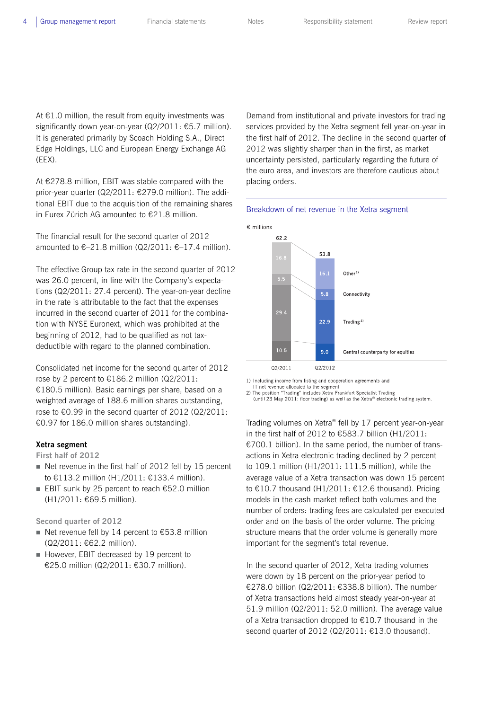At  $E1.0$  million, the result from equity investments was significantly down year-on-year (Q2/2011: €5.7 million). It is generated primarily by Scoach Holding S.A., Direct Edge Holdings, LLC and European Energy Exchange AG (EEX).

At €278.8 million, EBIT was stable compared with the prior-year quarter (Q2/2011: €279.0 million). The additional EBIT due to the acquisition of the remaining shares in Eurex Zürich AG amounted to €21.8 million.

The financial result for the second quarter of 2012 amounted to  $€-21.8$  million (Q2/2011:  $€-17.4$  million).

The effective Group tax rate in the second quarter of 2012 was 26.0 percent, in line with the Company's expectations (Q2/2011: 27.4 percent). The year-on-year decline in the rate is attributable to the fact that the expenses incurred in the second quarter of 2011 for the combination with NYSE Euronext, which was prohibited at the beginning of 2012, had to be qualified as not taxdeductible with regard to the planned combination.

Consolidated net income for the second quarter of 2012 rose by 2 percent to €186.2 million (Q2/2011: €180.5 million). Basic earnings per share, based on a weighted average of 188.6 million shares outstanding, rose to  $\epsilon$ 0.99 in the second quarter of 2012 (Q2/2011: €0.97 for 186.0 million shares outstanding).

## **Xetra segment**

### **First half of 2012**

- Net revenue in the first half of 2012 fell by 15 percent to €113.2 million (H1/2011: €133.4 million).
- EBIT sunk by 25 percent to reach  $€52.0$  million (H1/2011: €69.5 million).

**Second quarter of 2012**

- Net revenue fell by 14 percent to  $£53.8$  million (Q2/2011: €62.2 million).
- However, EBIT decreased by 19 percent to €25.0 million (Q2/2011: €30.7 million).

Demand from institutional and private investors for trading services provided by the Xetra segment fell year-on-year in the first half of 2012. The decline in the second quarter of 2012 was slightly sharper than in the first, as market uncertainty persisted, particularly regarding the future of the euro area, and investors are therefore cautious about placing orders.





1) Including income from listing and cooperation agreements and

IT net revenue allocated to the segment

2) The position "Trading" includes Xetra Frankfurt Specialist Trading (until 23 May 2011: floor trading) as well as the Xetra® electronic trading system.

Trading volumes on Xetra® fell by 17 percent year-on-year in the first half of 2012 to €583.7 billion (H1/2011: €700.1 billion). In the same period, the number of transactions in Xetra electronic trading declined by 2 percent to 109.1 million (H1/2011: 111.5 million), while the average value of a Xetra transaction was down 15 percent to €10.7 thousand (H1/2011: €12.6 thousand). Pricing models in the cash market reflect both volumes and the number of orders: trading fees are calculated per executed order and on the basis of the order volume. The pricing structure means that the order volume is generally more important for the segment's total revenue.

In the second quarter of 2012, Xetra trading volumes were down by 18 percent on the prior-year period to €278.0 billion (Q2/2011: €338.8 billion). The number of Xetra transactions held almost steady year-on-year at 51.9 million (Q2/2011: 52.0 million). The average value of a Xetra transaction dropped to €10.7 thousand in the second quarter of 2012 (Q2/2011: €13.0 thousand).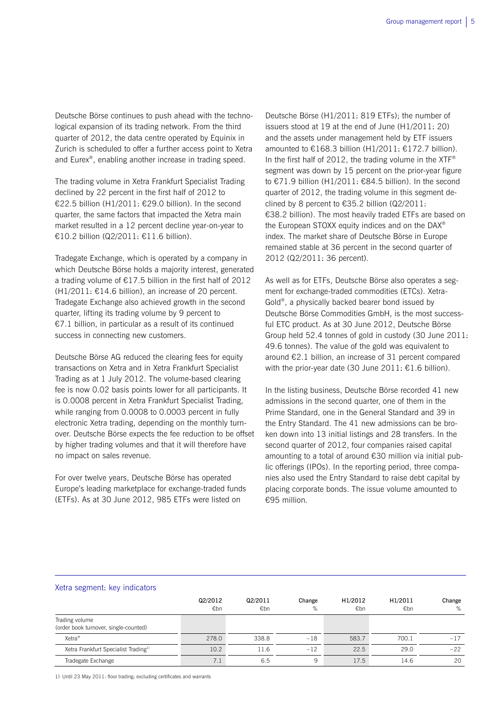Deutsche Börse continues to push ahead with the technological expansion of its trading network. From the third quarter of 2012, the data centre operated by Equinix in Zurich is scheduled to offer a further access point to Xetra and Eurex®, enabling another increase in trading speed.

The trading volume in Xetra Frankfurt Specialist Trading declined by 22 percent in the first half of 2012 to €22.5 billion (H1/2011: €29.0 billion). In the second quarter, the same factors that impacted the Xetra main market resulted in a 12 percent decline year-on-year to €10.2 billion (Q2/2011: €11.6 billion).

Tradegate Exchange, which is operated by a company in which Deutsche Börse holds a majority interest, generated a trading volume of €17.5 billion in the first half of 2012  $(H1/2011: \text{£}14.6$  billion), an increase of 20 percent. Tradegate Exchange also achieved growth in the second quarter, lifting its trading volume by 9 percent to €7.1 billion, in particular as a result of its continued success in connecting new customers.

Deutsche Börse AG reduced the clearing fees for equity transactions on Xetra and in Xetra Frankfurt Specialist Trading as at 1 July 2012. The volume-based clearing fee is now 0.02 basis points lower for all participants. It is 0.0008 percent in Xetra Frankfurt Specialist Trading, while ranging from 0.0008 to 0.0003 percent in fully electronic Xetra trading, depending on the monthly turnover. Deutsche Börse expects the fee reduction to be offset by higher trading volumes and that it will therefore have no impact on sales revenue.

For over twelve years, Deutsche Börse has operated Europe's leading marketplace for exchange-traded funds (ETFs). As at 30 June 2012, 985 ETFs were listed on

Deutsche Börse (H1/2011: 819 ETFs); the number of issuers stood at 19 at the end of June (H1/2011: 20) and the assets under management held by ETF issuers amounted to €168.3 billion (H1/2011: €172.7 billion). In the first half of 2012, the trading volume in the  $XTF^*$ segment was down by 15 percent on the prior-year figure to €71.9 billion (H1/2011: €84.5 billion). In the second quarter of 2012, the trading volume in this segment declined by 8 percent to  $\epsilon$ 35.2 billion (Q2/2011: €38.2 billion). The most heavily traded ETFs are based on the European STOXX equity indices and on the DAX® index. The market share of Deutsche Börse in Europe remained stable at 36 percent in the second quarter of 2012 (Q2/2011: 36 percent).

As well as for ETFs, Deutsche Börse also operates a segment for exchange-traded commodities (ETCs). Xetra-Gold®, a physically backed bearer bond issued by Deutsche Börse Commodities GmbH, is the most successful ETC product. As at 30 June 2012, Deutsche Börse Group held 52.4 tonnes of gold in custody (30 June 2011: 49.6 tonnes). The value of the gold was equivalent to around €2.1 billion, an increase of 31 percent compared with the prior-year date (30 June 2011:  $£1.6$  billion).

In the listing business, Deutsche Börse recorded 41 new admissions in the second quarter, one of them in the Prime Standard, one in the General Standard and 39 in the Entry Standard. The 41 new admissions can be broken down into 13 initial listings and 28 transfers. In the second quarter of 2012, four companies raised capital amounting to a total of around €30 million via initial public offerings (IPOs). In the reporting period, three companies also used the Entry Standard to raise debt capital by placing corporate bonds. The issue volume amounted to €95 million.

#### Xetra segment: key indicators

|                                                         | Q2/2012<br>€bn | Q2/2011<br>€bn | Change<br>% | H1/2012<br>€bn | H1/2011<br>€bn | Change<br>% |
|---------------------------------------------------------|----------------|----------------|-------------|----------------|----------------|-------------|
| Trading volume<br>(order book turnover, single-counted) |                |                |             |                |                |             |
| Xetra <sup>®</sup>                                      | 278.0          | 338.8          | $-18$       | 583.7          | 700.1          | $-17$       |
| Xetra Frankfurt Specialist Trading <sup>1)</sup>        | 10.2           | 11.6           | $-12$       | 22.5           | 29.0           | $-22$       |
| Tradegate Exchange                                      | 7.1            | 6.5            | 9           | 17.5           | 14.6           | 20          |

1) Until 23 May 2011: floor trading; excluding certificates and warrants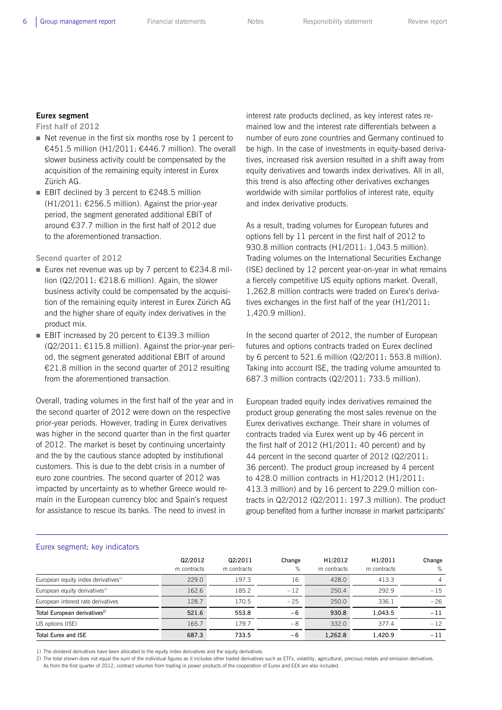## **Eurex segment**

**First half of 2012** 

- $\blacksquare$  Net revenue in the first six months rose by 1 percent to €451.5 million (H1/2011: €446.7 million). The overall slower business activity could be compensated by the acquisition of the remaining equity interest in Eurex Zürich AG.
- EBIT declined by 3 percent to  $€248.5$  million  $(H1/2011: \text{£}256.5$  million). Against the prior-year period, the segment generated additional EBIT of around €37.7 million in the first half of 2012 due to the aforementioned transaction.

**Second quarter of 2012**

- Eurex net revenue was up by 7 percent to  $\epsilon$ 234.8 million (Q2/2011: €218.6 million). Again, the slower business activity could be compensated by the acquisition of the remaining equity interest in Eurex Zürich AG and the higher share of equity index derivatives in the product mix.
- EBIT increased by 20 percent to  $€139.3$  million (Q2/2011: €115.8 million). Against the prior-year period, the segment generated additional EBIT of around €21.8 million in the second quarter of 2012 resulting from the aforementioned transaction.

Overall, trading volumes in the first half of the year and in the second quarter of 2012 were down on the respective prior-year periods. However, trading in Eurex derivatives was higher in the second quarter than in the first quarter of 2012. The market is beset by continuing uncertainty and the by the cautious stance adopted by institutional customers. This is due to the debt crisis in a number of euro zone countries. The second quarter of 2012 was impacted by uncertainty as to whether Greece would remain in the European currency bloc and Spain's request for assistance to rescue its banks. The need to invest in

interest rate products declined, as key interest rates remained low and the interest rate differentials between a number of euro zone countries and Germany continued to be high. In the case of investments in equity-based derivatives, increased risk aversion resulted in a shift away from equity derivatives and towards index derivatives. All in all, this trend is also affecting other derivatives exchanges worldwide with similar portfolios of interest rate, equity and index derivative products.

As a result, trading volumes for European futures and options fell by 11 percent in the first half of 2012 to 930.8 million contracts (H1/2011: 1,043.5 million). Trading volumes on the International Securities Exchange (ISE) declined by 12 percent year-on-year in what remains a fiercely competitive US equity options market. Overall, 1,262.8 million contracts were traded on Eurex's derivatives exchanges in the first half of the year (H1/2011: 1,420.9 million).

In the second quarter of 2012, the number of European futures and options contracts traded on Eurex declined by 6 percent to 521.6 million (Q2/2011: 553.8 million). Taking into account ISE, the trading volume amounted to 687.3 million contracts (Q2/2011: 733.5 million).

European traded equity index derivatives remained the product group generating the most sales revenue on the Eurex derivatives exchange. Their share in volumes of contracts traded via Eurex went up by 46 percent in the first half of 2012 (H1/2011: 40 percent) and by 44 percent in the second quarter of 2012 (Q2/2011: 36 percent). The product group increased by 4 percent to 428.0 million contracts in H1/2012 (H1/2011: 413.3 million) and by 16 percent to 229.0 million contracts in Q2/2012 (Q2/2011: 197.3 million). The product group benefited from a further increase in market participants'

### Eurex segment: key indicators

|                                                 | Q2/2012<br>m contracts | Q2/2011<br>m contracts | Change<br>% | H1/2012<br>m contracts | H1/2011<br>m contracts | Change<br>% |
|-------------------------------------------------|------------------------|------------------------|-------------|------------------------|------------------------|-------------|
| European equity index derivatives <sup>1)</sup> | 229.0                  | 197.3                  | 16          | 428.0                  | 413.3                  | 4           |
| European equity derivatives <sup>1)</sup>       | 162.6                  | 185.2                  | $-12$       | 250.4                  | 292.9                  | $-15$       |
| European interest rate derivatives              | 128.7                  | 170.5                  | $-25$       | 250.0                  | 336.1                  | $-26$       |
| Total European derivatives <sup>2)</sup>        | 521.6                  | 553.8                  | -6          | 930.8                  | 1.043.5                | $-11$       |
| US options (ISE)                                | 165.7                  | 179.7                  | -8          | 332.0                  | 377.4                  | $-12$       |
| <b>Total Eurex and ISE</b>                      | 687.3                  | 733.5                  | -6          | 1,262.8                | 1.420.9                | $-11$       |

1) The dividend derivatives have been allocated to the equity index derivatives and the equity derivatives.

2) The total shown does not equal the sum of the individual figures as it includes other traded derivatives such as ETFs, volatility, agricultural, precious metals and emission derivatives As from the first quarter of 2012, contract volumes from trading in power products of the cooperation of Eurex and EEX are also included.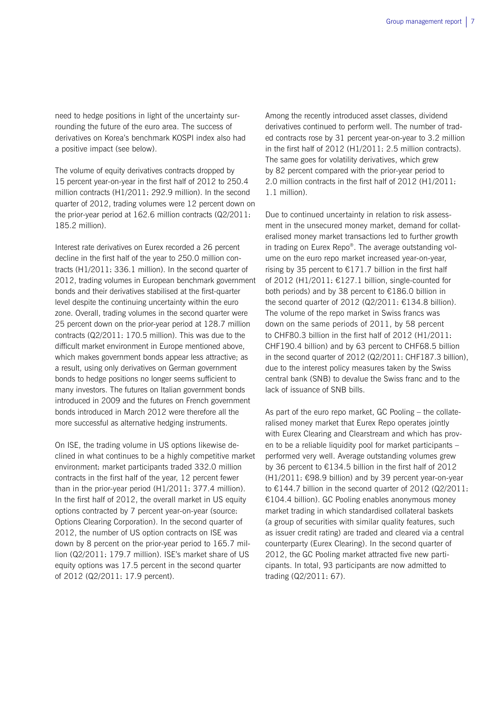need to hedge positions in light of the uncertainty surrounding the future of the euro area. The success of derivatives on Korea's benchmark KOSPI index also had a positive impact (see below).

The volume of equity derivatives contracts dropped by 15 percent year-on-year in the first half of 2012 to 250.4 million contracts (H1/2011: 292.9 million). In the second quarter of 2012, trading volumes were 12 percent down on the prior-year period at 162.6 million contracts (Q2/2011: 185.2 million).

Interest rate derivatives on Eurex recorded a 26 percent decline in the first half of the year to 250.0 million contracts (H1/2011: 336.1 million). In the second quarter of 2012, trading volumes in European benchmark government bonds and their derivatives stabilised at the first-quarter level despite the continuing uncertainty within the euro zone. Overall, trading volumes in the second quarter were 25 percent down on the prior-year period at 128.7 million contracts (Q2/2011: 170.5 million). This was due to the difficult market environment in Europe mentioned above, which makes government bonds appear less attractive; as a result, using only derivatives on German government bonds to hedge positions no longer seems sufficient to many investors. The futures on Italian government bonds introduced in 2009 and the futures on French government bonds introduced in March 2012 were therefore all the more successful as alternative hedging instruments.

On ISE, the trading volume in US options likewise declined in what continues to be a highly competitive market environment: market participants traded 332.0 million contracts in the first half of the year, 12 percent fewer than in the prior-year period (H1/2011: 377.4 million). In the first half of 2012, the overall market in US equity options contracted by 7 percent year-on-year (source: Options Clearing Corporation). In the second quarter of 2012, the number of US option contracts on ISE was down by 8 percent on the prior-year period to 165.7 million (Q2/2011: 179.7 million). ISE's market share of US equity options was 17.5 percent in the second quarter of 2012 (Q2/2011: 17.9 percent).

Among the recently introduced asset classes, dividend derivatives continued to perform well. The number of traded contracts rose by 31 percent year-on-year to 3.2 million in the first half of 2012 (H1/2011: 2.5 million contracts). The same goes for volatility derivatives, which grew by 82 percent compared with the prior-year period to 2.0 million contracts in the first half of 2012 (H1/2011: 1.1 million).

Due to continued uncertainty in relation to risk assessment in the unsecured money market, demand for collateralised money market transactions led to further growth in trading on Eurex Repo®. The average outstanding volume on the euro repo market increased year-on-year, rising by 35 percent to  $£171.7$  billion in the first half of 2012 (H1/2011: €127.1 billion, single-counted for both periods) and by 38 percent to €186.0 billion in the second quarter of 2012 (Q2/2011: €134.8 billion). The volume of the repo market in Swiss francs was down on the same periods of 2011, by 58 percent to CHF80.3 billion in the first half of 2012 (H1/2011: CHF190.4 billion) and by 63 percent to CHF68.5 billion in the second quarter of 2012 (Q2/2011: CHF187.3 billion), due to the interest policy measures taken by the Swiss central bank (SNB) to devalue the Swiss franc and to the lack of issuance of SNB bills.

As part of the euro repo market, GC Pooling – the collateralised money market that Eurex Repo operates jointly with Eurex Clearing and Clearstream and which has proven to be a reliable liquidity pool for market participants – performed very well. Average outstanding volumes grew by 36 percent to €134.5 billion in the first half of 2012 (H1/2011: €98.9 billion) and by 39 percent year-on-year to  $\epsilon$ 144.7 billion in the second quarter of 2012 (Q2/2011: €104.4 billion). GC Pooling enables anonymous money market trading in which standardised collateral baskets (a group of securities with similar quality features, such as issuer credit rating) are traded and cleared via a central counterparty (Eurex Clearing). In the second quarter of 2012, the GC Pooling market attracted five new participants. In total, 93 participants are now admitted to trading (Q2/2011: 67).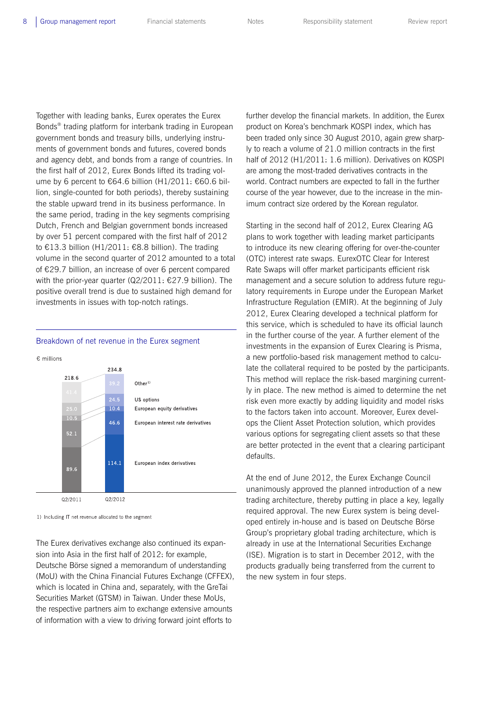Together with leading banks, Eurex operates the Eurex Bonds® trading platform for interbank trading in European government bonds and treasury bills, underlying instruments of government bonds and futures, covered bonds and agency debt, and bonds from a range of countries. In the first half of 2012, Eurex Bonds lifted its trading volume by 6 percent to €64.6 billion (H1/2011: €60.6 billion, single-counted for both periods), thereby sustaining the stable upward trend in its business performance. In the same period, trading in the key segments comprising Dutch, French and Belgian government bonds increased by over 51 percent compared with the first half of 2012 to €13.3 billion (H1/2011: €8.8 billion). The trading volume in the second quarter of 2012 amounted to a total of €29.7 billion, an increase of over 6 percent compared with the prior-year quarter (Q2/2011: €27.9 billion). The positive overall trend is due to sustained high demand for investments in issues with top-notch ratings.



## Breakdown of net revenue in the Eurex segment

1) Including IT net revenue allocated to the segment

The Eurex derivatives exchange also continued its expansion into Asia in the first half of 2012: for example, Deutsche Börse signed a memorandum of understanding (MoU) with the China Financial Futures Exchange (CFFEX), which is located in China and, separately, with the GreTai Securities Market (GTSM) in Taiwan. Under these MoUs, the respective partners aim to exchange extensive amounts of information with a view to driving forward joint efforts to

further develop the financial markets. In addition, the Eurex product on Korea's benchmark KOSPI index, which has been traded only since 30 August 2010, again grew sharply to reach a volume of 21.0 million contracts in the first half of 2012 (H1/2011: 1.6 million). Derivatives on KOSPI are among the most-traded derivatives contracts in the world. Contract numbers are expected to fall in the further course of the year however, due to the increase in the minimum contract size ordered by the Korean regulator.

Starting in the second half of 2012, Eurex Clearing AG plans to work together with leading market participants to introduce its new clearing offering for over-the-counter (OTC) interest rate swaps. EurexOTC Clear for Interest Rate Swaps will offer market participants efficient risk management and a secure solution to address future regulatory requirements in Europe under the European Market Infrastructure Regulation (EMIR). At the beginning of July 2012, Eurex Clearing developed a technical platform for this service, which is scheduled to have its official launch in the further course of the year. A further element of the investments in the expansion of Eurex Clearing is Prisma, a new portfolio-based risk management method to calculate the collateral required to be posted by the participants. This method will replace the risk-based margining currently in place. The new method is aimed to determine the net risk even more exactly by adding liquidity and model risks to the factors taken into account. Moreover, Eurex develops the Client Asset Protection solution, which provides various options for segregating client assets so that these are better protected in the event that a clearing participant defaults.

At the end of June 2012, the Eurex Exchange Council unanimously approved the planned introduction of a new trading architecture, thereby putting in place a key, legally required approval. The new Eurex system is being developed entirely in-house and is based on Deutsche Börse Group's proprietary global trading architecture, which is already in use at the International Securities Exchange (ISE). Migration is to start in December 2012, with the products gradually being transferred from the current to the new system in four steps.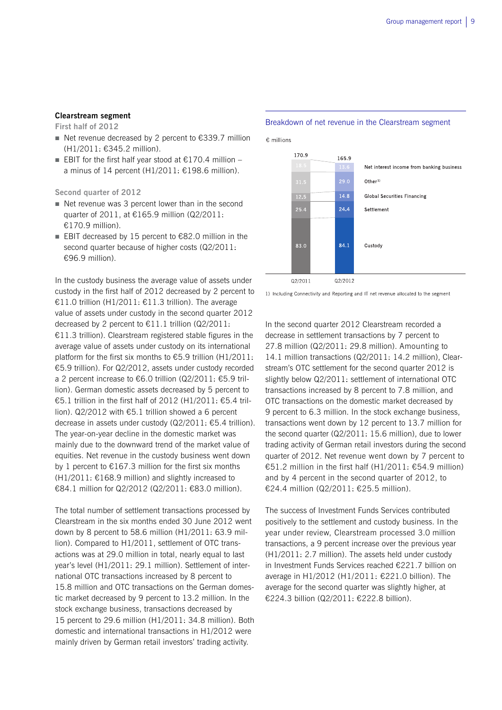### **Clearstream segment**

**First half of 2012** 

- Net revenue decreased by 2 percent to  $\epsilon$ 339.7 million (H1/2011: €345.2 million).
- EBIT for the first half year stood at  $€170.4$  million a minus of 14 percent  $(H1/2011: \text{£}198.6$  million).

**Second quarter of 2012** 

- Net revenue was 3 percent lower than in the second quarter of 2011, at €165.9 million (Q2/2011: €170.9 million).
- EBIT decreased by 15 percent to  $€82.0$  million in the second quarter because of higher costs (Q2/2011: €96.9 million).

In the custody business the average value of assets under custody in the first half of 2012 decreased by 2 percent to €11.0 trillion (H1/2011: €11.3 trillion). The average value of assets under custody in the second quarter 2012 decreased by 2 percent to  $£11.1$  trillion (Q2/2011: €11.3 trillion). Clearstream registered stable figures in the average value of assets under custody on its international platform for the first six months to  $\epsilon$ 5.9 trillion (H1/2011: €5.9 trillion). For Q2/2012, assets under custody recorded a 2 percent increase to €6.0 trillion (Q2/2011: €5.9 trillion). German domestic assets decreased by 5 percent to €5.1 trillion in the first half of 2012 (H1/2011: €5.4 trillion). Q2/2012 with €5.1 trillion showed a 6 percent decrease in assets under custody (Q2/2011: €5.4 trillion). The year-on-year decline in the domestic market was mainly due to the downward trend of the market value of equities. Net revenue in the custody business went down by 1 percent to  $£167.3$  million for the first six months  $(H1/2011: \text{£}168.9$  million) and slightly increased to €84.1 million for Q2/2012 (Q2/2011: €83.0 million).

The total number of settlement transactions processed by Clearstream in the six months ended 30 June 2012 went down by 8 percent to 58.6 million (H1/2011: 63.9 million). Compared to H1/2011, settlement of OTC transactions was at 29.0 million in total, nearly equal to last year's level (H1/2011: 29.1 million). Settlement of international OTC transactions increased by 8 percent to 15.8 million and OTC transactions on the German domestic market decreased by 9 percent to 13.2 million. In the stock exchange business, transactions decreased by 15 percent to 29.6 million (H1/2011: 34.8 million). Both domestic and international transactions in H1/2012 were mainly driven by German retail investors' trading activity.

#### Breakdown of net revenue in the Clearstream segment

€ millions



1) Including Connectivity and Reporting and IT net revenue allocated to the segment

In the second quarter 2012 Clearstream recorded a decrease in settlement transactions by 7 percent to 27.8 million (Q2/2011: 29.8 million). Amounting to 14.1 million transactions (Q2/2011: 14.2 million), Clearstream's OTC settlement for the second quarter 2012 is slightly below Q2/2011: settlement of international OTC transactions increased by 8 percent to 7.8 million, and OTC transactions on the domestic market decreased by 9 percent to 6.3 million. In the stock exchange business, transactions went down by 12 percent to 13.7 million for the second quarter (Q2/2011: 15.6 million), due to lower trading activity of German retail investors during the second quarter of 2012. Net revenue went down by 7 percent to €51.2 million in the first half (H1/2011: €54.9 million) and by 4 percent in the second quarter of 2012, to €24.4 million (Q2/2011: €25.5 million).

The success of Investment Funds Services contributed positively to the settlement and custody business. In the year under review, Clearstream processed 3.0 million transactions, a 9 percent increase over the previous year (H1/2011: 2.7 million). The assets held under custody in Investment Funds Services reached €221.7 billion on average in H1/2012 (H1/2011: €221.0 billion). The average for the second quarter was slightly higher, at €224.3 billion (Q2/2011: €222.8 billion).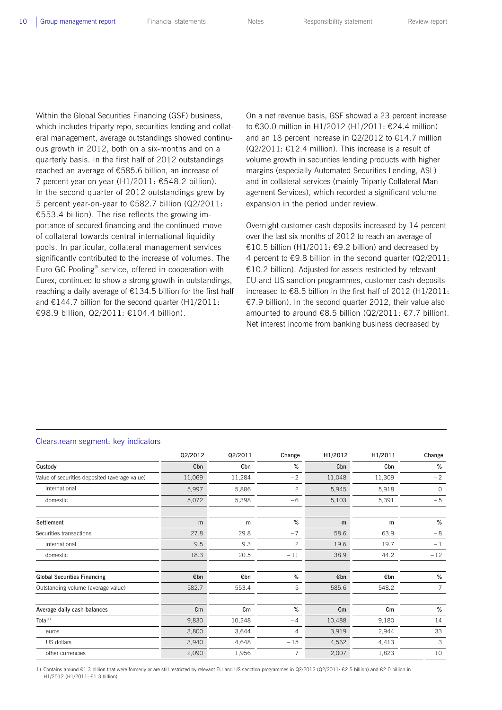Within the Global Securities Financing (GSF) business, which includes triparty repo, securities lending and collateral management, average outstandings showed continuous growth in 2012, both on a six-months and on a quarterly basis. In the first half of 2012 outstandings reached an average of €585.6 billion, an increase of 7 percent year-on-year (H1/2011: €548.2 billion). In the second quarter of 2012 outstandings grew by 5 percent year-on-year to €582.7 billion (Q2/2011: €553.4 billion). The rise reflects the growing importance of secured financing and the continued move of collateral towards central international liquidity pools. In particular, collateral management services significantly contributed to the increase of volumes. The Euro GC Pooling® service, offered in cooperation with Eurex, continued to show a strong growth in outstandings, reaching a daily average of  $E134.5$  billion for the first half and  $\epsilon$ 144.7 billion for the second quarter (H1/2011: €98.9 billion, Q2/2011: €104.4 billion).

On a net revenue basis, GSF showed a 23 percent increase to €30.0 million in H1/2012 (H1/2011: €24.4 million) and an 18 percent increase in Q2/2012 to €14.7 million  $(Q2/2011: \text{ } \in 12.4 \text{ million})$ . This increase is a result of volume growth in securities lending products with higher margins (especially Automated Securities Lending, ASL) and in collateral services (mainly Triparty Collateral Management Services), which recorded a significant volume expansion in the period under review.

Overnight customer cash deposits increased by 14 percent over the last six months of 2012 to reach an average of €10.5 billion (H1/2011: €9.2 billion) and decreased by 4 percent to €9.8 billion in the second quarter (Q2/2011: €10.2 billion). Adjusted for assets restricted by relevant EU and US sanction programmes, customer cash deposits increased to €8.5 billion in the first half of 2012 (H1/2011: €7.9 billion). In the second quarter 2012, their value also amounted to around €8.5 billion (Q2/2011: €7.7 billion). Net interest income from banking business decreased by

#### Clearstream segment: key indicators

|                                               | Q2/2012 | Q2/2011 | Change         | H1/2012 | H1/2011 | Change         |
|-----------------------------------------------|---------|---------|----------------|---------|---------|----------------|
| Custody                                       | €bn     | €bn     | %              | €bn     | €bn     | $\%$           |
| Value of securities deposited (average value) | 11,069  | 11,284  | $-2$           | 11,048  | 11,309  | $-2$           |
| international                                 | 5,997   | 5,886   | $\overline{c}$ | 5,945   | 5,918   | $\circ$        |
| domestic                                      | 5,072   | 5,398   | $-6$           | 5,103   | 5,391   | $-5$           |
| Settlement                                    | m       | m       | %              | m       | m       | %              |
| Securities transactions                       | 27.8    | 29.8    | $-7$           | 58.6    | 63.9    | $-8$           |
| international                                 | 9.5     | 9.3     | $\overline{c}$ | 19.6    | 19.7    | $-1$           |
| domestic                                      | 18.3    | 20.5    | $-11$          | 38.9    | 44.2    | $-12$          |
| <b>Global Securities Financing</b>            | €bn     | €bn     | $\%$           | €bn     | €bn     | $\%$           |
| Outstanding volume (average value)            | 582.7   | 553.4   | 5              | 585.6   | 548.2   | $\overline{7}$ |
| Average daily cash balances                   | €m      | €m      | $\%$           | €m      | €m      | $\%$           |
| Total <sup>1</sup>                            | 9,830   | 10,248  | $-4$           | 10,488  | 9,180   | 14             |
| euros                                         | 3,800   | 3,644   | 4              | 3,919   | 2,944   | 33             |
| US dollars                                    | 3,940   | 4,648   | $-15$          | 4,562   | 4,413   | 3              |
| other currencies                              | 2,090   | 1,956   | $\overline{7}$ | 2,007   | 1,823   | 10             |

1) Contains around €1.3 billion that were formerly or are still restricted by relevant EU and US sanction programmes in Q2/2012 (Q2/2011: €2.5 billion) and €2.0 billion in H1/2012 (H1/2011: €1.3 billion).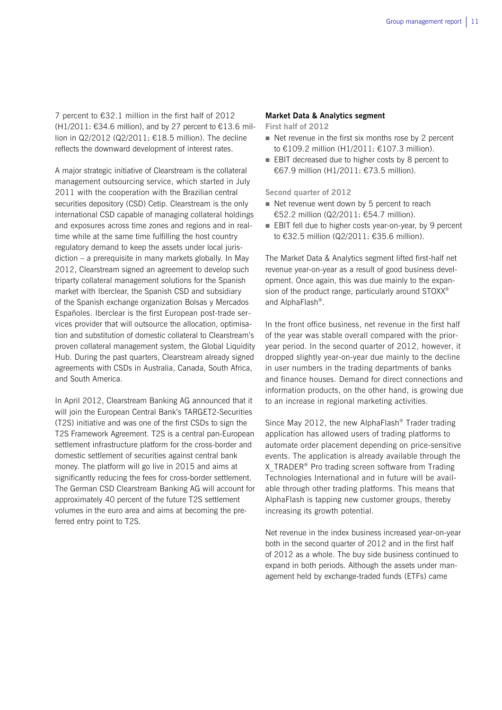7 percent to €32.1 million in the first half of 2012 (H1/2011: €34.6 million), and by 27 percent to  $€13.6$  million in Q2/2012 (Q2/2011: €18.5 million). The decline reflects the downward development of interest rates.

A major strategic initiative of Clearstream is the collateral management outsourcing service, which started in July 2011 with the cooperation with the Brazilian central securities depository (CSD) Cetip. Clearstream is the only international CSD capable of managing collateral holdings and exposures across time zones and regions and in realtime while at the same time fulfilling the host country regulatory demand to keep the assets under local jurisdiction – a prerequisite in many markets globally. In May 2012, Clearstream signed an agreement to develop such triparty collateral management solutions for the Spanish market with Iberclear, the Spanish CSD and subsidiary of the Spanish exchange organization Bolsas y Mercados Españoles. Iberclear is the first European post-trade services provider that will outsource the allocation, optimisation and substitution of domestic collateral to Clearstream's proven collateral management system, the Global Liquidity Hub. During the past quarters, Clearstream already signed agreements with CSDs in Australia, Canada, South Africa, and South America.

In April 2012, Clearstream Banking AG announced that it will join the European Central Bank's TARGET2-Securities (T2S) initiative and was one of the first CSDs to sign the T2S Framework Agreement. T2S is a central pan-European settlement infrastructure platform for the cross-border and domestic settlement of securities against central bank money. The platform will go live in 2015 and aims at significantly reducing the fees for cross-border settlement. The German CSD Clearstream Banking AG will account for approximately 40 percent of the future T2S settlement volumes in the euro area and aims at becoming the preferred entry point to T2S.

### **Market Data & Analytics segment**

**First half of 2012** 

- $\blacksquare$  Net revenue in the first six months rose by 2 percent to €109.2 million (H1/2011: €107.3 million).
- **EBIT** decreased due to higher costs by 8 percent to €67.9 million (H1/2011: €73.5 million).

**Second quarter of 2012** 

- $\blacksquare$  Net revenue went down by 5 percent to reach €52.2 million (Q2/2011: €54.7 million).
- **EBIT** fell due to higher costs year-on-year, by 9 percent to €32.5 million (Q2/2011: €35.6 million).

The Market Data & Analytics segment lifted first-half net revenue year-on-year as a result of good business development. Once again, this was due mainly to the expansion of the product range, particularly around STOXX<sup>®</sup> and AlphaFlash®.

In the front office business, net revenue in the first half of the year was stable overall compared with the prioryear period. In the second quarter of 2012, however, it dropped slightly year-on-year due mainly to the decline in user numbers in the trading departments of banks and finance houses. Demand for direct connections and information products, on the other hand, is growing due to an increase in regional marketing activities.

Since May 2012, the new AlphaFlash® Trader trading application has allowed users of trading platforms to automate order placement depending on price-sensitive events. The application is already available through the X TRADER<sup>®</sup> Pro trading screen software from Trading Technologies International and in future will be available through other trading platforms. This means that AlphaFlash is tapping new customer groups, thereby increasing its growth potential.

Net revenue in the index business increased year-on-year both in the second quarter of 2012 and in the first half of 2012 as a whole. The buy side business continued to expand in both periods. Although the assets under management held by exchange-traded funds (ETFs) came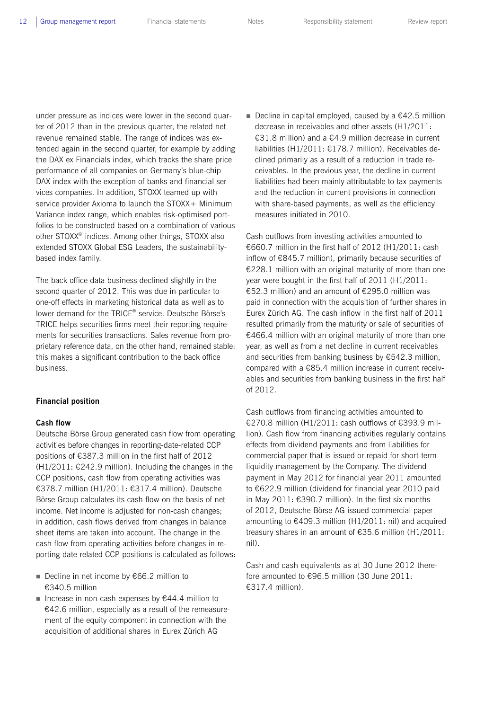under pressure as indices were lower in the second quarter of 2012 than in the previous quarter, the related net revenue remained stable. The range of indices was extended again in the second quarter, for example by adding the DAX ex Financials index, which tracks the share price performance of all companies on Germany's blue-chip DAX index with the exception of banks and financial services companies. In addition, STOXX teamed up with service provider Axioma to launch the STOXX+ Minimum Variance index range, which enables risk-optimised portfolios to be constructed based on a combination of various other STOXX® indices. Among other things, STOXX also extended STOXX Global ESG Leaders, the sustainabilitybased index family.

The back office data business declined slightly in the second quarter of 2012. This was due in particular to one-off effects in marketing historical data as well as to lower demand for the TRICE® service. Deutsche Börse's TRICE helps securities firms meet their reporting requirements for securities transactions. Sales revenue from proprietary reference data, on the other hand, remained stable; this makes a significant contribution to the back office business.

### **Financial position**

#### **Cash flow**

Deutsche Börse Group generated cash flow from operating activities before changes in reporting-date-related CCP positions of €387.3 million in the first half of 2012 (H1/2011: €242.9 million). Including the changes in the CCP positions, cash flow from operating activities was €378.7 million (H1/2011: €317.4 million). Deutsche Börse Group calculates its cash flow on the basis of net income. Net income is adjusted for non-cash changes; in addition, cash flows derived from changes in balance sheet items are taken into account. The change in the cash flow from operating activities before changes in reporting-date-related CCP positions is calculated as follows:

- Decline in net income by €66.2 million to €340.5 million
- Increase in non-cash expenses by  $€44.4$  million to €42.6 million, especially as a result of the remeasurement of the equity component in connection with the acquisition of additional shares in Eurex Zürich AG

Decline in capital employed, caused by a  $\epsilon$ 42.5 million decrease in receivables and other assets (H1/2011: €31.8 million) and a €4.9 million decrease in current liabilities (H1/2011: €178.7 million). Receivables declined primarily as a result of a reduction in trade receivables. In the previous year, the decline in current liabilities had been mainly attributable to tax payments and the reduction in current provisions in connection with share-based payments, as well as the efficiency measures initiated in 2010.

Cash outflows from investing activities amounted to €660.7 million in the first half of 2012 (H1/2011: cash inflow of €845.7 million), primarily because securities of €228.1 million with an original maturity of more than one year were bought in the first half of 2011 (H1/2011: €52.3 million) and an amount of €295.0 million was paid in connection with the acquisition of further shares in Eurex Zürich AG. The cash inflow in the first half of 2011 resulted primarily from the maturity or sale of securities of €466.4 million with an original maturity of more than one year, as well as from a net decline in current receivables and securities from banking business by €542.3 million, compared with a €85.4 million increase in current receivables and securities from banking business in the first half of 2012.

Cash outflows from financing activities amounted to €270.8 million (H1/2011: cash outflows of €393.9 million). Cash flow from financing activities regularly contains effects from dividend payments and from liabilities for commercial paper that is issued or repaid for short-term liquidity management by the Company. The dividend payment in May 2012 for financial year 2011 amounted to €622.9 million (dividend for financial year 2010 paid in May 2011: €390.7 million). In the first six months of 2012, Deutsche Börse AG issued commercial paper amounting to  $€409.3$  million (H1/2011: nil) and acquired treasury shares in an amount of €35.6 million (H1/2011: nil).

Cash and cash equivalents as at 30 June 2012 therefore amounted to €96.5 million (30 June 2011: €317.4 million).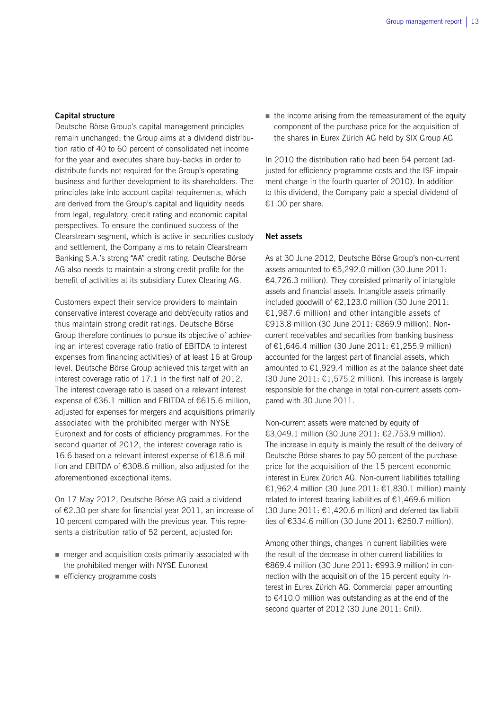### **Capital structure**

Deutsche Börse Group's capital management principles remain unchanged: the Group aims at a dividend distribution ratio of 40 to 60 percent of consolidated net income for the year and executes share buy-backs in order to distribute funds not required for the Group's operating business and further development to its shareholders. The principles take into account capital requirements, which are derived from the Group's capital and liquidity needs from legal, regulatory, credit rating and economic capital perspectives. To ensure the continued success of the Clearstream segment, which is active in securities custody and settlement, the Company aims to retain Clearstream Banking S.A.'s strong "AA" credit rating. Deutsche Börse AG also needs to maintain a strong credit profile for the benefit of activities at its subsidiary Eurex Clearing AG.

Customers expect their service providers to maintain conservative interest coverage and debt/equity ratios and thus maintain strong credit ratings. Deutsche Börse Group therefore continues to pursue its objective of achieving an interest coverage ratio (ratio of EBITDA to interest expenses from financing activities) of at least 16 at Group level. Deutsche Börse Group achieved this target with an interest coverage ratio of 17.1 in the first half of 2012. The interest coverage ratio is based on a relevant interest expense of €36.1 million and EBITDA of €615.6 million, adjusted for expenses for mergers and acquisitions primarily associated with the prohibited merger with NYSE Euronext and for costs of efficiency programmes. For the second quarter of 2012, the interest coverage ratio is 16.6 based on a relevant interest expense of €18.6 million and EBITDA of €308.6 million, also adjusted for the aforementioned exceptional items.

On 17 May 2012, Deutsche Börse AG paid a dividend of €2.30 per share for financial year 2011, an increase of 10 percent compared with the previous year. This represents a distribution ratio of 52 percent, adjusted for:

- merger and acquisition costs primarily associated with the prohibited merger with NYSE Euronext
- efficiency programme costs

 $\blacksquare$  the income arising from the remeasurement of the equity component of the purchase price for the acquisition of the shares in Eurex Zürich AG held by SIX Group AG

In 2010 the distribution ratio had been 54 percent (adjusted for efficiency programme costs and the ISE impairment charge in the fourth quarter of 2010). In addition to this dividend, the Company paid a special dividend of €1.00 per share.

### **Net assets**

As at 30 June 2012, Deutsche Börse Group's non-current assets amounted to €5,292.0 million (30 June 2011: €4,726.3 million). They consisted primarily of intangible assets and financial assets. Intangible assets primarily included goodwill of €2,123.0 million (30 June 2011: €1,987.6 million) and other intangible assets of €913.8 million (30 June 2011: €869.9 million). Noncurrent receivables and securities from banking business of €1,646.4 million (30 June 2011: €1,255.9 million) accounted for the largest part of financial assets, which amounted to  $\epsilon$ 1,929.4 million as at the balance sheet date (30 June 2011:  $£1,575.2$  million). This increase is largely responsible for the change in total non-current assets compared with 30 June 2011.

Non-current assets were matched by equity of €3,049.1 million (30 June 2011: €2,753.9 million). The increase in equity is mainly the result of the delivery of Deutsche Börse shares to pay 50 percent of the purchase price for the acquisition of the 15 percent economic interest in Eurex Zürich AG. Non-current liabilities totalling €1,962.4 million (30 June 2011: €1,830.1 million) mainly related to interest-bearing liabilities of  $E1,469.6$  million (30 June 2011:  $£1,420.6$  million) and deferred tax liabilities of €334.6 million (30 June 2011: €250.7 million).

Among other things, changes in current liabilities were the result of the decrease in other current liabilities to €869.4 million (30 June 2011: €993.9 million) in connection with the acquisition of the 15 percent equity interest in Eurex Zürich AG. Commercial paper amounting to €410.0 million was outstanding as at the end of the second quarter of 2012 (30 June 2011: €nil).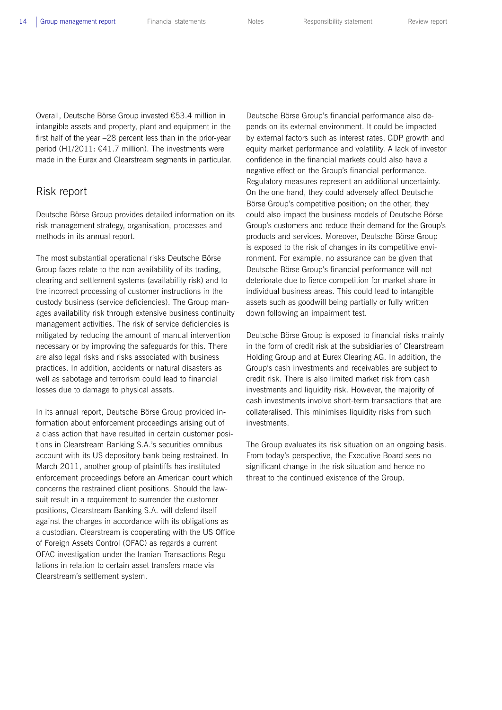Overall, Deutsche Börse Group invested €53.4 million in intangible assets and property, plant and equipment in the first half of the year –28 percent less than in the prior-year period (H1/2011: €41.7 million). The investments were made in the Eurex and Clearstream segments in particular.

## Risk report

Deutsche Börse Group provides detailed information on its risk management strategy, organisation, processes and methods in its annual report.

The most substantial operational risks Deutsche Börse Group faces relate to the non-availability of its trading, clearing and settlement systems (availability risk) and to the incorrect processing of customer instructions in the custody business (service deficiencies). The Group manages availability risk through extensive business continuity management activities. The risk of service deficiencies is mitigated by reducing the amount of manual intervention necessary or by improving the safeguards for this. There are also legal risks and risks associated with business practices. In addition, accidents or natural disasters as well as sabotage and terrorism could lead to financial losses due to damage to physical assets.

In its annual report, Deutsche Börse Group provided information about enforcement proceedings arising out of a class action that have resulted in certain customer positions in Clearstream Banking S.A.'s securities omnibus account with its US depository bank being restrained. In March 2011, another group of plaintiffs has instituted enforcement proceedings before an American court which concerns the restrained client positions. Should the lawsuit result in a requirement to surrender the customer positions, Clearstream Banking S.A. will defend itself against the charges in accordance with its obligations as a custodian. Clearstream is cooperating with the US Office of Foreign Assets Control (OFAC) as regards a current OFAC investigation under the Iranian Transactions Regulations in relation to certain asset transfers made via Clearstream's settlement system.

Deutsche Börse Group's financial performance also depends on its external environment. It could be impacted by external factors such as interest rates, GDP growth and equity market performance and volatility. A lack of investor confidence in the financial markets could also have a negative effect on the Group's financial performance. Regulatory measures represent an additional uncertainty. On the one hand, they could adversely affect Deutsche Börse Group's competitive position; on the other, they could also impact the business models of Deutsche Börse Group's customers and reduce their demand for the Group's products and services. Moreover, Deutsche Börse Group is exposed to the risk of changes in its competitive environment. For example, no assurance can be given that Deutsche Börse Group's financial performance will not deteriorate due to fierce competition for market share in individual business areas. This could lead to intangible assets such as goodwill being partially or fully written down following an impairment test.

Deutsche Börse Group is exposed to financial risks mainly in the form of credit risk at the subsidiaries of Clearstream Holding Group and at Eurex Clearing AG. In addition, the Group's cash investments and receivables are subject to credit risk. There is also limited market risk from cash investments and liquidity risk. However, the majority of cash investments involve short-term transactions that are collateralised. This minimises liquidity risks from such investments.

The Group evaluates its risk situation on an ongoing basis. From today's perspective, the Executive Board sees no significant change in the risk situation and hence no threat to the continued existence of the Group.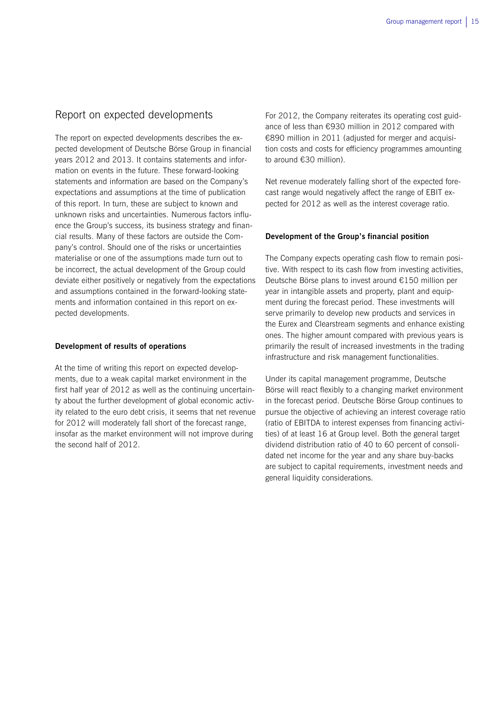## Report on expected developments

The report on expected developments describes the expected development of Deutsche Börse Group in financial years 2012 and 2013. It contains statements and information on events in the future. These forward-looking statements and information are based on the Company's expectations and assumptions at the time of publication of this report. In turn, these are subject to known and unknown risks and uncertainties. Numerous factors influence the Group's success, its business strategy and financial results. Many of these factors are outside the Company's control. Should one of the risks or uncertainties materialise or one of the assumptions made turn out to be incorrect, the actual development of the Group could deviate either positively or negatively from the expectations and assumptions contained in the forward-looking statements and information contained in this report on expected developments.

### **Development of results of operations**

At the time of writing this report on expected developments, due to a weak capital market environment in the first half year of 2012 as well as the continuing uncertainty about the further development of global economic activity related to the euro debt crisis, it seems that net revenue for 2012 will moderately fall short of the forecast range, insofar as the market environment will not improve during the second half of 2012.

For 2012, the Company reiterates its operating cost guidance of less than €930 million in 2012 compared with €890 million in 2011 (adjusted for merger and acquisition costs and costs for efficiency programmes amounting to around €30 million).

Net revenue moderately falling short of the expected forecast range would negatively affect the range of EBIT expected for 2012 as well as the interest coverage ratio.

### **Development of the Group's financial position**

The Company expects operating cash flow to remain positive. With respect to its cash flow from investing activities, Deutsche Börse plans to invest around €150 million per year in intangible assets and property, plant and equipment during the forecast period. These investments will serve primarily to develop new products and services in the Eurex and Clearstream segments and enhance existing ones. The higher amount compared with previous years is primarily the result of increased investments in the trading infrastructure and risk management functionalities.

Under its capital management programme, Deutsche Börse will react flexibly to a changing market environment in the forecast period. Deutsche Börse Group continues to pursue the objective of achieving an interest coverage ratio (ratio of EBITDA to interest expenses from financing activities) of at least 16 at Group level. Both the general target dividend distribution ratio of 40 to 60 percent of consolidated net income for the year and any share buy-backs are subject to capital requirements, investment needs and general liquidity considerations.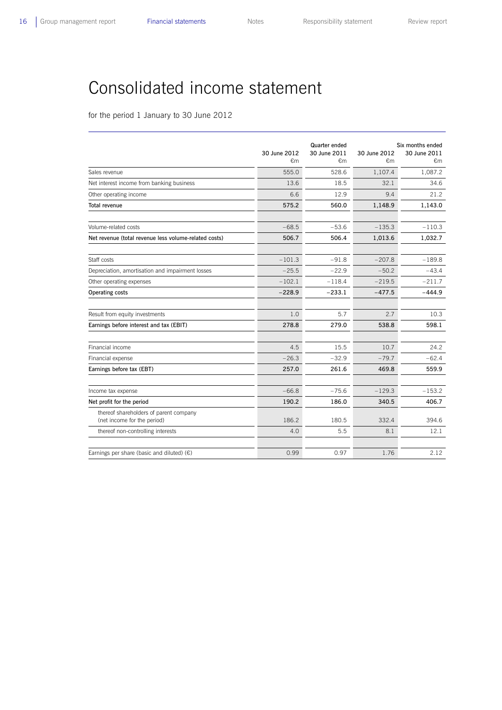## Consolidated income statement

for the period 1 January to 30 June 2012

|                                                                       | 30 June 2012<br>€m | Quarter ended<br>30 June 2011<br>€m | 30 June 2012<br>€m | Six months ended<br>30 June 2011<br>€m |
|-----------------------------------------------------------------------|--------------------|-------------------------------------|--------------------|----------------------------------------|
| Sales revenue                                                         | 555.0              | 528.6                               | 1,107.4            | 1,087.2                                |
| Net interest income from banking business                             | 13.6               | 18.5                                | 32.1               | 34.6                                   |
| Other operating income                                                | 6.6                | 12.9                                | 9.4                | 21.2                                   |
| Total revenue                                                         | 575.2              | 560.0                               | 1,148.9            | 1,143.0                                |
|                                                                       |                    |                                     |                    |                                        |
| Volume-related costs                                                  | $-68.5$            | $-53.6$                             | $-135.3$           | $-110.3$                               |
| Net revenue (total revenue less volume-related costs)                 | 506.7              | 506.4                               | 1,013.6            | 1,032.7                                |
|                                                                       |                    |                                     |                    |                                        |
| Staff costs                                                           | $-101.3$           | $-91.8$                             | $-207.8$           | $-189.8$                               |
| Depreciation, amortisation and impairment losses                      | $-25.5$            | $-22.9$                             | $-50.2$            | $-43.4$                                |
| Other operating expenses                                              | $-102.1$           | $-118.4$                            | $-219.5$           | $-211.7$                               |
| Operating costs                                                       | $-228.9$           | $-233.1$                            | $-477.5$           | $-444.9$                               |
|                                                                       |                    |                                     |                    |                                        |
| Result from equity investments                                        | 1.0                | 5.7                                 | 2.7                | 10.3                                   |
| Earnings before interest and tax (EBIT)                               | 278.8              | 279.0                               | 538.8              | 598.1                                  |
|                                                                       |                    |                                     |                    |                                        |
| Financial income                                                      | 4.5                | 15.5                                | 10.7               | 24.2                                   |
| Financial expense                                                     | $-26.3$            | $-32.9$                             | $-79.7$            | $-62.4$                                |
| Earnings before tax (EBT)                                             | 257.0              | 261.6                               | 469.8              | 559.9                                  |
|                                                                       |                    |                                     |                    |                                        |
| Income tax expense                                                    | $-66.8$            | $-75.6$                             | $-129.3$           | $-153.2$                               |
| Net profit for the period                                             | 190.2              | 186.0                               | 340.5              | 406.7                                  |
| thereof shareholders of parent company<br>(net income for the period) | 186.2              | 180.5                               | 332.4              | 394.6                                  |
| thereof non-controlling interests                                     | 4.0                | 5.5                                 | 8.1                | 12.1                                   |
|                                                                       |                    |                                     |                    |                                        |
| Earnings per share (basic and diluted) $(\epsilon)$                   | 0.99               | 0.97                                | 1.76               | 2.12                                   |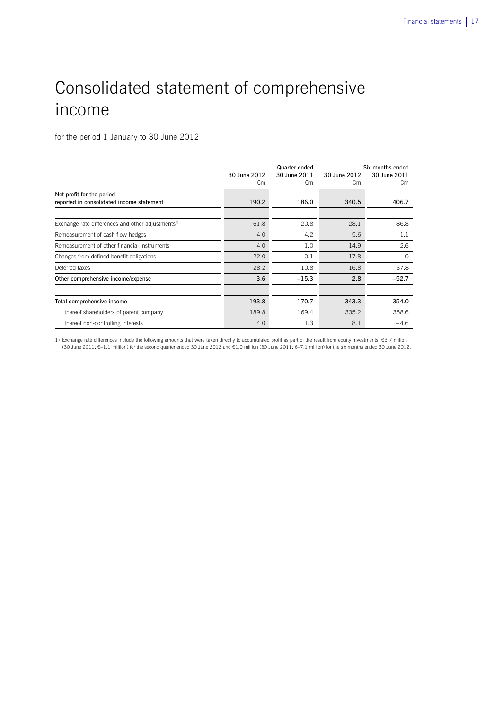## Consolidated statement of comprehensive income

for the period 1 January to 30 June 2012

|                                                                        | 30 June 2012<br>€m | Quarter ended<br>30 June 2011<br>€m | 30 June 2012<br>€m | Six months ended<br>30 June 2011<br>€m |
|------------------------------------------------------------------------|--------------------|-------------------------------------|--------------------|----------------------------------------|
| Net profit for the period<br>reported in consolidated income statement | 190.2              | 186.0                               | 340.5              | 406.7                                  |
| Exchange rate differences and other adjustments <sup>1)</sup>          | 61.8               | $-20.8$                             | 28.1               | $-86.8$                                |
| Remeasurement of cash flow hedges                                      | $-4.0$             | $-4.2$                              | $-5.6$             | $-1.1$                                 |
| Remeasurement of other financial instruments                           | $-4.0$             | $-1.0$                              | 14.9               | $-2.6$                                 |
| Changes from defined benefit obligations                               | $-22.0$            | $-0.1$                              | $-17.8$            | $\Omega$                               |
| Deferred taxes                                                         | $-28.2$            | 10.8                                | $-16.8$            | 37.8                                   |
| Other comprehensive income/expense                                     | 3.6                | $-15.3$                             | 2.8                | $-52.7$                                |
|                                                                        |                    |                                     |                    |                                        |
| Total comprehensive income                                             | 193.8              | 170.7                               | 343.3              | 354.0                                  |
| thereof shareholders of parent company                                 | 189.8              | 169.4                               | 335.2              | 358.6                                  |
| thereof non-controlling interests                                      | 4.0                | 1.3                                 | 8.1                | $-4.6$                                 |

1) Exchange rate differences include the following amounts that were taken directly to accumulated profit as part of the result from equity investments: €3.7 milion (30 June 2011: €–1.1 million) for the second quarter ended 30 June 2012 and €1.0 million (30 June 2011: €–7.1 million) for the six months ended 30 June 2012.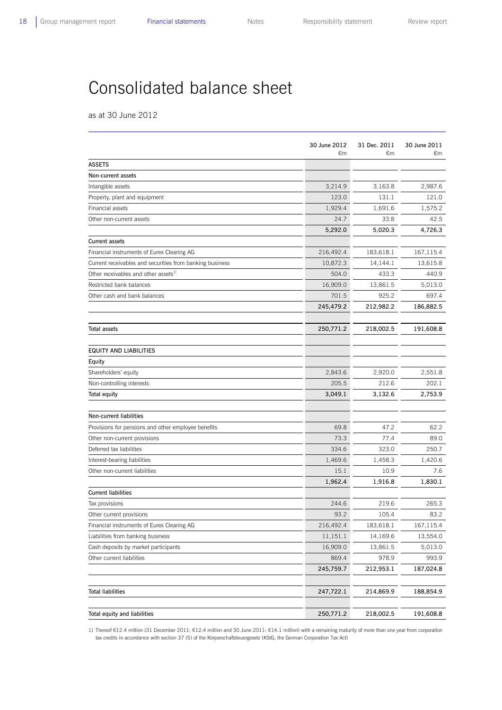## Consolidated balance sheet

as at 30 June 2012

|                                                          | 30 June 2012<br>€m | 31 Dec. 2011<br>€m | 30 June 2011<br>€m |
|----------------------------------------------------------|--------------------|--------------------|--------------------|
| <b>ASSETS</b>                                            |                    |                    |                    |
| Non-current assets                                       |                    |                    |                    |
| Intangible assets                                        | 3,214.9            | 3,163.8            | 2,987.6            |
| Property, plant and equipment                            | 123.0              | 131.1              | 121.0              |
| Financial assets                                         | 1,929.4            | 1,691.6            | 1,575.2            |
| Other non-current assets                                 | 24.7               | 33.8               | 42.5               |
|                                                          | 5,292.0            | 5,020.3            | 4,726.3            |
| <b>Current assets</b>                                    |                    |                    |                    |
| Financial instruments of Eurex Clearing AG               | 216,492.4          | 183,618.1          | 167,115.4          |
| Current receivables and securities from banking business | 10,872.3           | 14,144.1           | 13,615.8           |
| Other receivables and other assets <sup>1)</sup>         | 504.0              | 433.3              | 440.9              |
| Restricted bank balances                                 | 16,909.0           | 13,861.5           | 5,013.0            |
| Other cash and bank balances                             | 701.5              | 925.2              | 697.4              |
|                                                          | 245,479.2          | 212,982.2          | 186,882.5          |
| <b>Total assets</b>                                      | 250,771.2          | 218,002.5          | 191,608.8          |
| EQUITY AND LIABILITIES                                   |                    |                    |                    |
| Equity                                                   |                    |                    |                    |
| Shareholders' equity                                     | 2,843.6            | 2,920.0            | 2,551.8            |
| Non-controlling interests                                | 205.5              | 212.6              | 202.1              |
| <b>Total equity</b>                                      | 3,049.1            | 3,132.6            | 2,753.9            |
| Non-current liabilities                                  |                    |                    |                    |
| Provisions for pensions and other employee benefits      | 69.8               | 47.2               | 62.2               |
| Other non-current provisions                             | 73.3               | 77.4               | 89.0               |
| Deferred tax liabilities                                 | 334.6              | 323.0              | 250.7              |
| Interest-bearing liabilities                             | 1,469.6            | 1,458.3            | 1,420.6            |
| Other non-current liabilities                            | 15.1               | 10.9               | 7.6                |
|                                                          | 1,962.4            | 1,916.8            | 1,830.1            |
| <b>Current liabilities</b>                               |                    |                    |                    |
| Tax provisions                                           | 244.6              | 219.6              | 265.3              |
| Other current provisions                                 | 93.2               | 105.4              | 83.2               |
| Financial instruments of Eurex Clearing AG               | 216,492.4          | 183,618.1          | 167,115.4          |
| Liabilities from banking business                        | 11,151.1           | 14,169.6           | 13,554.0           |
| Cash deposits by market participants                     | 16,909.0           | 13,861.5           | 5,013.0            |
| Other current liabilities                                | 869.4              | 978.9              | 993.9              |
|                                                          | 245,759.7          | 212,953.1          | 187,024.8          |
| <b>Total liabilities</b>                                 | 247,722.1          | 214,869.9          | 188,854.9          |
| Total equity and liabilities                             | 250,771.2          | 218,002.5          | 191,608.8          |

1) Thereof €12.4 million (31 December 2011: €12.4 million and 30 June 2011: €14.1 million) with a remaining maturity of more than one year from corporation tax credits in accordance with section 37 (5) of the Körperschaftsteuergesetz (KStG, the German Corporation Tax Act)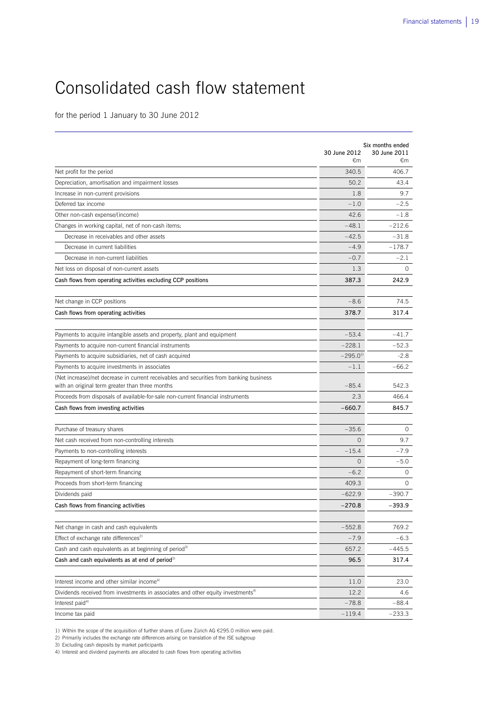## Consolidated cash flow statement

for the period 1 January to 30 June 2012

|                                                                                                                                            | Six months ended   |                    |  |
|--------------------------------------------------------------------------------------------------------------------------------------------|--------------------|--------------------|--|
|                                                                                                                                            | 30 June 2012<br>€m | 30 June 2011<br>€m |  |
| Net profit for the period                                                                                                                  | 340.5              | 406.7              |  |
| Depreciation, amortisation and impairment losses                                                                                           | 50.2               | 43.4               |  |
| Increase in non-current provisions                                                                                                         | 1.8                | 9.7                |  |
| Deferred tax income                                                                                                                        | $-1.0$             | $-2.5$             |  |
| Other non-cash expense/(income)                                                                                                            | 42.6               | $-1.8$             |  |
| Changes in working capital, net of non-cash items:                                                                                         | $-48.1$            | $-212.6$           |  |
| Decrease in receivables and other assets                                                                                                   | $-42.5$            | $-31.8$            |  |
| Decrease in current liabilities                                                                                                            | $-4.9$             | $-178.7$           |  |
| Decrease in non-current liabilities                                                                                                        | $-0.7$             | $-2.1$             |  |
| Net loss on disposal of non-current assets                                                                                                 | 1.3                | $\Omega$           |  |
| Cash flows from operating activities excluding CCP positions                                                                               | 387.3              | 242.9              |  |
| Net change in CCP positions                                                                                                                | $-8.6$             | 74.5               |  |
| Cash flows from operating activities                                                                                                       | 378.7              | 317.4              |  |
|                                                                                                                                            |                    |                    |  |
| Payments to acquire intangible assets and property, plant and equipment                                                                    | $-53.4$            | $-41.7$            |  |
| Payments to acquire non-current financial instruments                                                                                      | $-228.1$           | $-52.3$            |  |
| Payments to acquire subsidiaries, net of cash acquired                                                                                     | $-295.0^{11}$      | $-2.8$             |  |
| Payments to acquire investments in associates                                                                                              | $-1.1$             | $-66.2$            |  |
| (Net increase)/net decrease in current receivables and securities from banking business<br>with an original term greater than three months | $-85.4$            | 542.3              |  |
| Proceeds from disposals of available-for-sale non-current financial instruments                                                            | 2.3                | 466.4              |  |
| Cash flows from investing activities                                                                                                       | $-660.7$           | 845.7              |  |
|                                                                                                                                            |                    |                    |  |
| Purchase of treasury shares                                                                                                                | $-35.6$            | $\circ$            |  |
| Net cash received from non-controlling interests                                                                                           | $\Omega$           | 9.7                |  |
| Payments to non-controlling interests                                                                                                      | $-15.4$            | $-7.9$             |  |
| Repayment of long-term financing                                                                                                           | $\circ$            | $-5.0$             |  |
| Repayment of short-term financing                                                                                                          | $-6.2$             | 0                  |  |
| Proceeds from short-term financing                                                                                                         | 409.3              | 0                  |  |
| Dividends paid                                                                                                                             | $-622.9$           | $-390.7$           |  |
| Cash flows from financing activities                                                                                                       | $-270.8$           | $-393.9$           |  |
| Net change in cash and cash equivalents                                                                                                    | $-552.8$           | 769.2              |  |
| Effect of exchange rate differences <sup>2)</sup>                                                                                          | $-7.9$             | $-6.3$             |  |
| Cash and cash equivalents as at beginning of period <sup>3)</sup>                                                                          | 657.2              | -445.5             |  |
| Cash and cash equivalents as at end of period <sup>3)</sup>                                                                                | 96.5               | 317.4              |  |
|                                                                                                                                            |                    |                    |  |
| Interest income and other similar income <sup>4)</sup>                                                                                     | 11.0               | 23.0               |  |
| Dividends received from investments in associates and other equity investments <sup>4)</sup>                                               | 12.2               | 4.6                |  |
| Interest paid <sup>4)</sup>                                                                                                                | $-78.8$            | $-88.4$            |  |
| Income tax paid                                                                                                                            | $-119.4$           | $-233.3$           |  |

1) Within the scope of the acquisition of further shares of Eurex Zürich AG €295.0 million were paid.

2) Primarily includes the exchange rate differences arising on translation of the ISE subgroup

3) Excluding cash deposits by market participants

4) Interest and dividend payments are allocated to cash flows from operating activities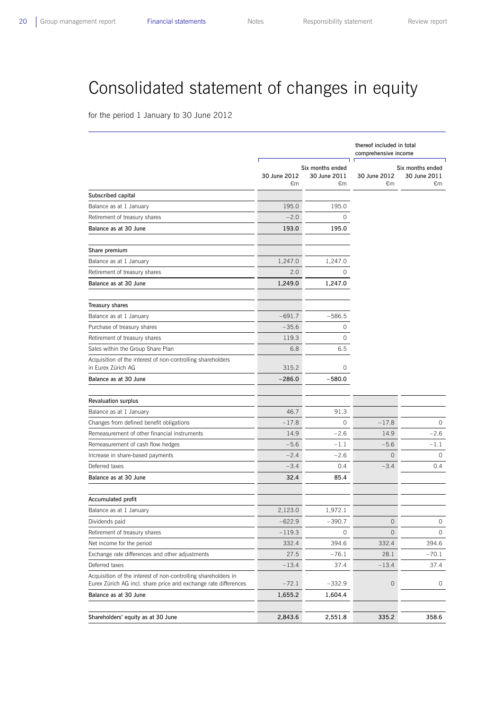## Consolidated statement of changes in equity

for the period 1 January to 30 June 2012

|                                                                                                                                   |                    |                                        | thereof included in total<br>comprehensive income |                                        |  |
|-----------------------------------------------------------------------------------------------------------------------------------|--------------------|----------------------------------------|---------------------------------------------------|----------------------------------------|--|
|                                                                                                                                   | 30 June 2012<br>€m | Six months ended<br>30 June 2011<br>€m | 30 June 2012<br>€m                                | Six months ended<br>30 June 2011<br>€m |  |
| Subscribed capital                                                                                                                |                    |                                        |                                                   |                                        |  |
| Balance as at 1 January                                                                                                           | 195.0              | 195.0                                  |                                                   |                                        |  |
| Retirement of treasury shares                                                                                                     | $-2.0$             | 0                                      |                                                   |                                        |  |
| Balance as at 30 June                                                                                                             | 193.0              | 195.0                                  |                                                   |                                        |  |
| Share premium                                                                                                                     |                    |                                        |                                                   |                                        |  |
| Balance as at 1 January                                                                                                           | 1,247.0            | 1,247.0                                |                                                   |                                        |  |
| Retirement of treasury shares                                                                                                     | 2.0                | 0                                      |                                                   |                                        |  |
| Balance as at 30 June                                                                                                             | 1,249.0            | 1,247.0                                |                                                   |                                        |  |
| <b>Treasury shares</b>                                                                                                            |                    |                                        |                                                   |                                        |  |
| Balance as at 1 January                                                                                                           | $-691.7$           | $-586.5$                               |                                                   |                                        |  |
| Purchase of treasury shares                                                                                                       | $-35.6$            | 0                                      |                                                   |                                        |  |
| Retirement of treasury shares                                                                                                     | 119.3              | 0                                      |                                                   |                                        |  |
| Sales within the Group Share Plan                                                                                                 | 6.8                | 6.5                                    |                                                   |                                        |  |
| Acquisition of the interest of non-controlling shareholders<br>in Eurex Zürich AG                                                 | 315.2              | 0                                      |                                                   |                                        |  |
| Balance as at 30 June                                                                                                             | $-286.0$           | $-580.0$                               |                                                   |                                        |  |
| <b>Revaluation surplus</b>                                                                                                        |                    |                                        |                                                   |                                        |  |
| Balance as at 1 January                                                                                                           | 46.7               | 91.3                                   |                                                   |                                        |  |
| Changes from defined benefit obligations                                                                                          | $-17.8$            | $\circ$                                | $-17.8$                                           | $\circ$                                |  |
| Remeasurement of other financial instruments                                                                                      | 14.9               | $-2.6$                                 | 14.9                                              | $-2.6$                                 |  |
| Remeasurement of cash flow hedges                                                                                                 | $-5.6$             | $-1.1$                                 | $-5.6$                                            | $-1.1$                                 |  |
| Increase in share-based payments                                                                                                  | $-2.4$             | $-2.6$                                 | $\overline{O}$                                    | $\circ$                                |  |
| Deferred taxes                                                                                                                    | $-3.4$             | 0.4                                    | $-3.4$                                            | 0.4                                    |  |
| Balance as at 30 June                                                                                                             | 32.4               | 85.4                                   |                                                   |                                        |  |
| Accumulated profit                                                                                                                |                    |                                        |                                                   |                                        |  |
| Balance as at 1 January                                                                                                           | 2,123.0            | 1,972.1                                |                                                   |                                        |  |
| Dividends paid                                                                                                                    | 622.9              | 390.7                                  | 0                                                 | 0                                      |  |
| Retirement of treasury shares                                                                                                     | $-119.3$           | 0                                      | $\mathsf{O}\xspace$                               | 0                                      |  |
| Net income for the period                                                                                                         | 332.4              | 394.6                                  | 332.4                                             | 394.6                                  |  |
| Exchange rate differences and other adjustments                                                                                   | 27.5               | $-76.1$                                | 28.1                                              | $-70.1$                                |  |
| Deferred taxes                                                                                                                    | $-13.4$            | 37.4                                   | $-13.4$                                           | 37.4                                   |  |
| Acquisition of the interest of non-controlling shareholders in<br>Eurex Zürich AG incl. share price and exchange rate differences | $-72.1$            | $-332.9$                               | 0                                                 | 0                                      |  |
| Balance as at 30 June                                                                                                             | 1,655.2            | 1,604.4                                |                                                   |                                        |  |
| Shareholders' equity as at 30 June                                                                                                | 2,843.6            | 2,551.8                                | 335.2                                             | 358.6                                  |  |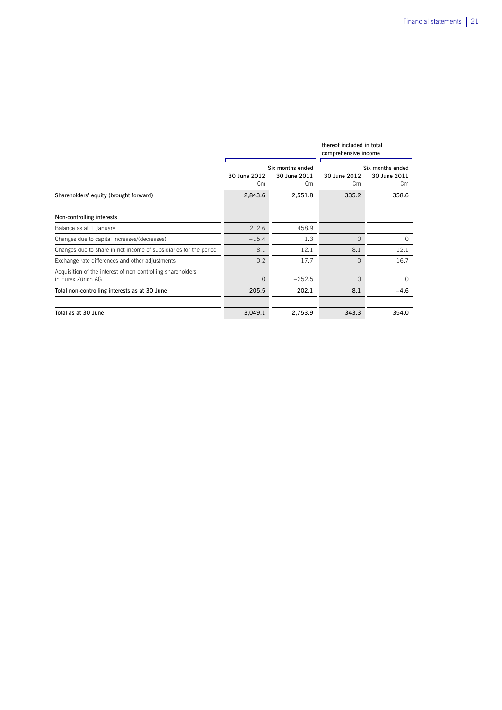|                                                                                   |                    |                                        | thereof included in total<br>comprehensive income |                                        |  |
|-----------------------------------------------------------------------------------|--------------------|----------------------------------------|---------------------------------------------------|----------------------------------------|--|
|                                                                                   | 30 June 2012<br>€m | Six months ended<br>30 June 2011<br>€m | 30 June 2012<br>€m                                | Six months ended<br>30 June 2011<br>€m |  |
| Shareholders' equity (brought forward)                                            | 2,843.6            | 2,551.8                                | 335.2                                             | 358.6                                  |  |
| Non-controlling interests                                                         |                    |                                        |                                                   |                                        |  |
| Balance as at 1 January                                                           | 212.6              | 458.9                                  |                                                   |                                        |  |
| Changes due to capital increases/(decreases)                                      | $-15.4$            | 1.3                                    | $\Omega$                                          | $\Omega$                               |  |
| Changes due to share in net income of subsidiaries for the period                 | 8.1                | 12.1                                   | 8.1                                               | 12.1                                   |  |
| Exchange rate differences and other adjustments                                   | 0.2                | $-17.7$                                | $\Omega$                                          | $-16.7$                                |  |
| Acquisition of the interest of non-controlling shareholders<br>in Eurex Zürich AG | 0                  | $-252.5$                               | $\circ$                                           | $\Omega$                               |  |
| Total non-controlling interests as at 30 June                                     | 205.5              | 202.1                                  | 8.1                                               | $-4.6$                                 |  |
|                                                                                   |                    |                                        |                                                   |                                        |  |
| Total as at 30 June                                                               | 3,049.1            | 2,753.9                                | 343.3                                             | 354.0                                  |  |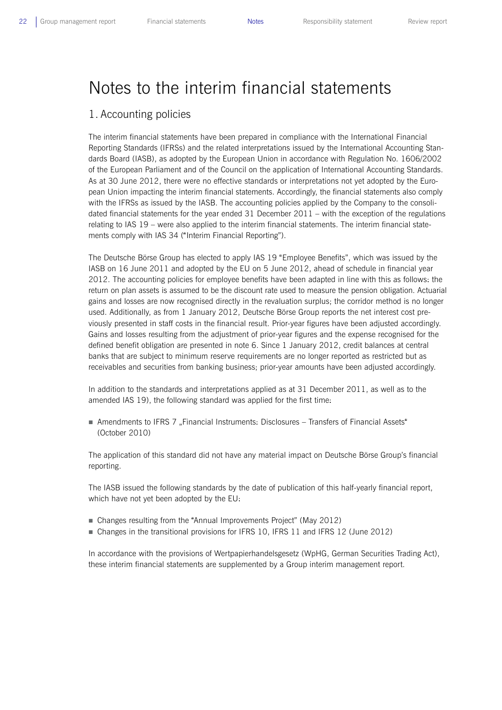## Notes to the interim financial statements

## 1. Accounting policies

The interim financial statements have been prepared in compliance with the International Financial Reporting Standards (IFRSs) and the related interpretations issued by the International Accounting Standards Board (IASB), as adopted by the European Union in accordance with Regulation No. 1606/2002 of the European Parliament and of the Council on the application of International Accounting Standards. As at 30 June 2012, there were no effective standards or interpretations not yet adopted by the European Union impacting the interim financial statements. Accordingly, the financial statements also comply with the IFRSs as issued by the IASB. The accounting policies applied by the Company to the consolidated financial statements for the year ended 31 December 2011 – with the exception of the regulations relating to IAS 19 – were also applied to the interim financial statements. The interim financial statements comply with IAS 34 ("Interim Financial Reporting").

The Deutsche Börse Group has elected to apply IAS 19 "Employee Benefits", which was issued by the IASB on 16 June 2011 and adopted by the EU on 5 June 2012, ahead of schedule in financial year 2012. The accounting policies for employee benefits have been adapted in line with this as follows: the return on plan assets is assumed to be the discount rate used to measure the pension obligation. Actuarial gains and losses are now recognised directly in the revaluation surplus; the corridor method is no longer used. Additionally, as from 1 January 2012, Deutsche Börse Group reports the net interest cost previously presented in staff costs in the financial result. Prior-year figures have been adjusted accordingly. Gains and losses resulting from the adjustment of prior-year figures and the expense recognised for the defined benefit obligation are presented in note 6. Since 1 January 2012, credit balances at central banks that are subject to minimum reserve requirements are no longer reported as restricted but as receivables and securities from banking business; prior-year amounts have been adjusted accordingly.

In addition to the standards and interpretations applied as at 31 December 2011, as well as to the amended IAS 19), the following standard was applied for the first time:

Amendments to IFRS 7 "Financial Instruments: Disclosures – Transfers of Financial Assets" (October 2010)

The application of this standard did not have any material impact on Deutsche Börse Group's financial reporting.

The IASB issued the following standards by the date of publication of this half-yearly financial report, which have not yet been adopted by the EU:

- Changes resulting from the "Annual Improvements Project" (May 2012)
- Changes in the transitional provisions for IFRS 10, IFRS 11 and IFRS 12 (June 2012)

In accordance with the provisions of Wertpapierhandelsgesetz (WpHG, German Securities Trading Act), these interim financial statements are supplemented by a Group interim management report.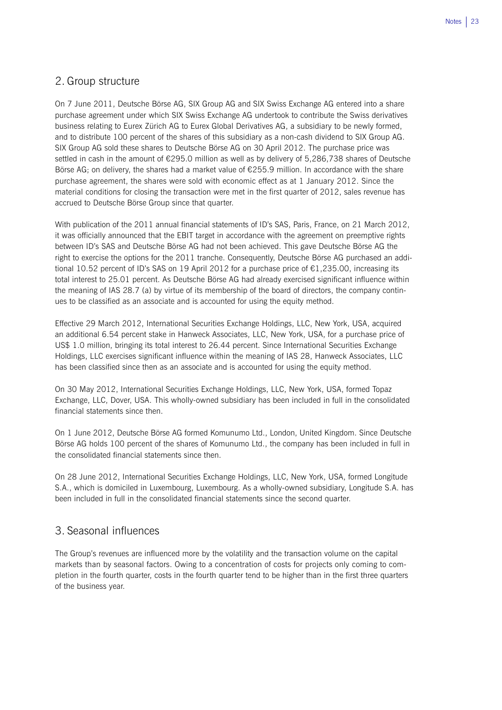## 2. Group structure

On 7 June 2011, Deutsche Börse AG, SIX Group AG and SIX Swiss Exchange AG entered into a share purchase agreement under which SIX Swiss Exchange AG undertook to contribute the Swiss derivatives business relating to Eurex Zürich AG to Eurex Global Derivatives AG, a subsidiary to be newly formed, and to distribute 100 percent of the shares of this subsidiary as a non-cash dividend to SIX Group AG. SIX Group AG sold these shares to Deutsche Börse AG on 30 April 2012. The purchase price was settled in cash in the amount of €295.0 million as well as by delivery of 5,286,738 shares of Deutsche Börse AG; on delivery, the shares had a market value of €255.9 million. In accordance with the share purchase agreement, the shares were sold with economic effect as at 1 January 2012. Since the material conditions for closing the transaction were met in the first quarter of 2012, sales revenue has accrued to Deutsche Börse Group since that quarter.

With publication of the 2011 annual financial statements of ID's SAS, Paris, France, on 21 March 2012, it was officially announced that the EBIT target in accordance with the agreement on preemptive rights between ID's SAS and Deutsche Börse AG had not been achieved. This gave Deutsche Börse AG the right to exercise the options for the 2011 tranche. Consequently, Deutsche Börse AG purchased an additional 10.52 percent of ID's SAS on 19 April 2012 for a purchase price of €1,235.00, increasing its total interest to 25.01 percent. As Deutsche Börse AG had already exercised significant influence within the meaning of IAS 28.7 (a) by virtue of its membership of the board of directors, the company continues to be classified as an associate and is accounted for using the equity method.

Effective 29 March 2012, International Securities Exchange Holdings, LLC, New York, USA, acquired an additional 6.54 percent stake in Hanweck Associates, LLC, New York, USA, for a purchase price of US\$ 1.0 million, bringing its total interest to 26.44 percent. Since International Securities Exchange Holdings, LLC exercises significant influence within the meaning of IAS 28, Hanweck Associates, LLC has been classified since then as an associate and is accounted for using the equity method.

On 30 May 2012, International Securities Exchange Holdings, LLC, New York, USA, formed Topaz Exchange, LLC, Dover, USA. This wholly-owned subsidiary has been included in full in the consolidated financial statements since then.

On 1 June 2012, Deutsche Börse AG formed Komunumo Ltd., London, United Kingdom. Since Deutsche Börse AG holds 100 percent of the shares of Komunumo Ltd., the company has been included in full in the consolidated financial statements since then.

On 28 June 2012, International Securities Exchange Holdings, LLC, New York, USA, formed Longitude S.A., which is domiciled in Luxembourg, Luxembourg. As a wholly-owned subsidiary, Longitude S.A. has been included in full in the consolidated financial statements since the second quarter.

## 3. Seasonal influences

The Group's revenues are influenced more by the volatility and the transaction volume on the capital markets than by seasonal factors. Owing to a concentration of costs for projects only coming to completion in the fourth quarter, costs in the fourth quarter tend to be higher than in the first three quarters of the business year.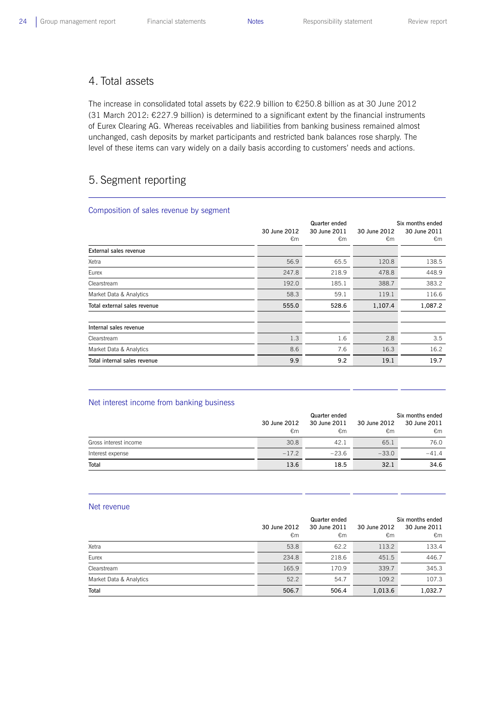## 4. Total assets

The increase in consolidated total assets by €22.9 billion to €250.8 billion as at 30 June 2012 (31 March 2012: €227.9 billion) is determined to a significant extent by the financial instruments of Eurex Clearing AG. Whereas receivables and liabilities from banking business remained almost unchanged, cash deposits by market participants and restricted bank balances rose sharply. The level of these items can vary widely on a daily basis according to customers' needs and actions.

## 5. Segment reporting

### Composition of sales revenue by segment

|                              |              | Quarter ended | Six months ended |              |  |
|------------------------------|--------------|---------------|------------------|--------------|--|
|                              | 30 June 2012 | 30 June 2011  | 30 June 2012     | 30 June 2011 |  |
|                              | €m           | €m            | €m               | €m           |  |
| External sales revenue       |              |               |                  |              |  |
| Xetra                        | 56.9         | 65.5          | 120.8            | 138.5        |  |
| Eurex                        | 247.8        | 218.9         | 478.8            | 448.9        |  |
| Clearstream                  | 192.0        | 185.1         | 388.7            | 383.2        |  |
| Market Data & Analytics      | 58.3         | 59.1          | 119.1            | 116.6        |  |
| Total external sales revenue | 555.0        | 528.6         | 1,107.4          | 1,087.2      |  |
|                              |              |               |                  |              |  |
| Internal sales revenue       |              |               |                  |              |  |
| Clearstream                  | 1.3          | 1.6           | 2.8              | 3.5          |  |
| Market Data & Analytics      | 8.6          | 7.6           | 16.3             | 16.2         |  |
| Total internal sales revenue | 9.9          | 9.2           | 19.1             | 19.7         |  |

## Net interest income from banking business

|                       |              | Quarter ended | Six months ended |              |  |
|-----------------------|--------------|---------------|------------------|--------------|--|
|                       | 30 June 2012 | 30 June 2011  | 30 June 2012     | 30 June 2011 |  |
|                       | €m           | €m            | €m               | €m           |  |
| Gross interest income | 30.8         | 42.1          | 65.1             | 76.0         |  |
| Interest expense      | $-17.2$      | $-23.6$       | $-33.0$          | $-41.4$      |  |
| Total                 | 13.6         | 18.5          | 32.1             | 34.6         |  |

#### Net revenue

|                         |              |              | Six months ended |              |  |
|-------------------------|--------------|--------------|------------------|--------------|--|
|                         | 30 June 2012 | 30 June 2011 | 30 June 2012     | 30 June 2011 |  |
|                         | €m           | €m           | €m               | €m           |  |
| Xetra                   | 53.8         | 62.2         | 113.2            | 133.4        |  |
| Eurex                   | 234.8        | 218.6        | 451.5            | 446.7        |  |
| Clearstream             | 165.9        | 170.9        | 339.7            | 345.3        |  |
| Market Data & Analytics | 52.2         | 54.7         | 109.2            | 107.3        |  |
| Total                   | 506.7        | 506.4        | 1,013.6          | 1,032.7      |  |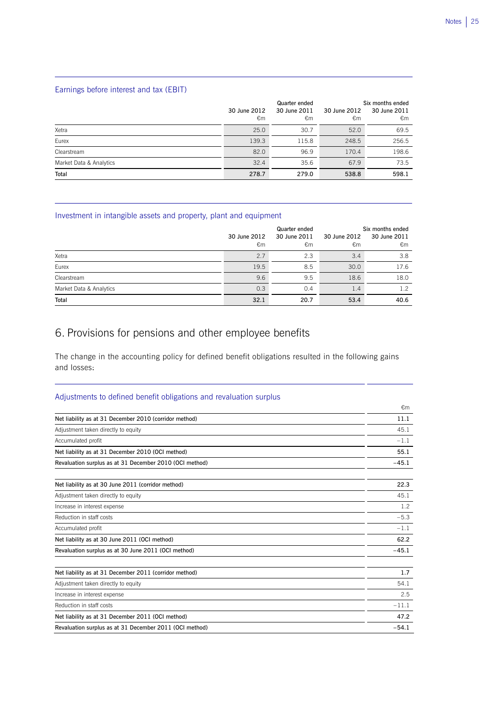## Earnings before interest and tax (EBIT)

|                         | 30 June 2012<br>€m | Quarter ended<br>30 June 2011<br>€m | 30 June 2012<br>€m | Six months ended<br>30 June 2011<br>€m |
|-------------------------|--------------------|-------------------------------------|--------------------|----------------------------------------|
| Xetra                   | 25.0               | 30.7                                | 52.0               | 69.5                                   |
| Eurex                   | 139.3              | 115.8                               | 248.5              | 256.5                                  |
| Clearstream             | 82.0               | 96.9                                | 170.4              | 198.6                                  |
| Market Data & Analytics | 32.4               | 35.6                                | 67.9               | 73.5                                   |
| Total                   | 278.7              | 279.0                               | 538.8              | 598.1                                  |

## Investment in intangible assets and property, plant and equipment

|                         | 30 June 2012<br>€m | Quarter ended<br>30 June 2011<br>€m | 30 June 2012<br>€m | Six months ended<br>30 June 2011<br>€m |
|-------------------------|--------------------|-------------------------------------|--------------------|----------------------------------------|
| Xetra                   | 2.7                | 2.3                                 | 3.4                | 3.8                                    |
| Eurex                   | 19.5               | 8.5                                 | 30.0               | 17.6                                   |
| Clearstream             | 9.6                | 9.5                                 | 18.6               | 18.0                                   |
| Market Data & Analytics | 0.3                | 0.4                                 | 1.4                | 1.2                                    |
| Total                   | 32.1               | 20.7                                | 53.4               | 40.6                                   |

## 6. Provisions for pensions and other employee benefits

The change in the accounting policy for defined benefit obligations resulted in the following gains and losses:

## Adjustments to defined benefit obligations and revaluation surplus

|                                                         | €m      |
|---------------------------------------------------------|---------|
| Net liability as at 31 December 2010 (corridor method)  | 11.1    |
| Adjustment taken directly to equity                     | 45.1    |
| Accumulated profit                                      | $-1.1$  |
| Net liability as at 31 December 2010 (OCI method)       | 55.1    |
| Revaluation surplus as at 31 December 2010 (OCI method) | $-45.1$ |
| Net liability as at 30 June 2011 (corridor method)      | 22.3    |
| Adjustment taken directly to equity                     | 45.1    |
| Increase in interest expense                            | 1.2     |
| Reduction in staff costs                                | $-5.3$  |
| Accumulated profit                                      | $-1.1$  |
| Net liability as at 30 June 2011 (OCI method)           | 62.2    |
| Revaluation surplus as at 30 June 2011 (OCI method)     | $-45.1$ |
| Net liability as at 31 December 2011 (corridor method)  | 1.7     |
| Adjustment taken directly to equity                     | 54.1    |
| Increase in interest expense                            | 2.5     |
| Reduction in staff costs                                | $-11.1$ |
| Net liability as at 31 December 2011 (OCI method)       | 47.2    |
| Revaluation surplus as at 31 December 2011 (OCI method) | $-54.1$ |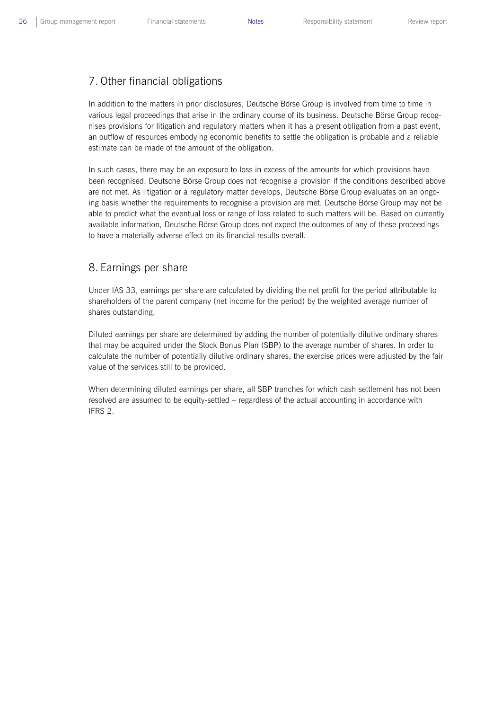## 7. Other financial obligations

In addition to the matters in prior disclosures, Deutsche Börse Group is involved from time to time in various legal proceedings that arise in the ordinary course of its business. Deutsche Börse Group recognises provisions for litigation and regulatory matters when it has a present obligation from a past event, an outflow of resources embodying economic benefits to settle the obligation is probable and a reliable estimate can be made of the amount of the obligation.

In such cases, there may be an exposure to loss in excess of the amounts for which provisions have been recognised. Deutsche Börse Group does not recognise a provision if the conditions described above are not met. As litigation or a regulatory matter develops, Deutsche Börse Group evaluates on an ongoing basis whether the requirements to recognise a provision are met. Deutsche Börse Group may not be able to predict what the eventual loss or range of loss related to such matters will be. Based on currently available information, Deutsche Börse Group does not expect the outcomes of any of these proceedings to have a materially adverse effect on its financial results overall.

## 8. Earnings per share

Under IAS 33, earnings per share are calculated by dividing the net profit for the period attributable to shareholders of the parent company (net income for the period) by the weighted average number of shares outstanding.

Diluted earnings per share are determined by adding the number of potentially dilutive ordinary shares that may be acquired under the Stock Bonus Plan (SBP) to the average number of shares. In order to calculate the number of potentially dilutive ordinary shares, the exercise prices were adjusted by the fair value of the services still to be provided.

When determining diluted earnings per share, all SBP tranches for which cash settlement has not been resolved are assumed to be equity-settled – regardless of the actual accounting in accordance with IFRS 2.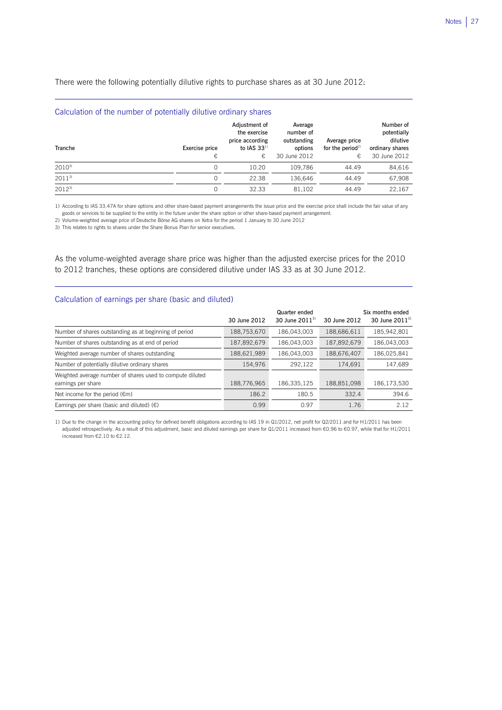There were the following potentially dilutive rights to purchase shares as at 30 June 2012:

| Calculation of the number of potentially dilutive ordinary shares |                     |                                                                           |                                                                |                                                    |                                                                         |
|-------------------------------------------------------------------|---------------------|---------------------------------------------------------------------------|----------------------------------------------------------------|----------------------------------------------------|-------------------------------------------------------------------------|
| Tranche                                                           | Exercise price<br>€ | Adjustment of<br>the exercise<br>price according<br>to IAS $33^{1}$<br>€, | Average<br>number of<br>outstanding<br>options<br>30 June 2012 | Average price<br>for the period <sup>2)</sup><br>€ | Number of<br>potentially<br>dilutive<br>ordinary shares<br>30 June 2012 |
| $2010^{3}$                                                        | $\Omega$            | 10.20                                                                     | 109.786                                                        | 44.49                                              | 84,616                                                                  |
| $2011^{3}$                                                        | $\Omega$            | 22.38                                                                     | 136.646                                                        | 44.49                                              | 67,908                                                                  |
| $2012^{3}$                                                        |                     | 32.33                                                                     | 81.102                                                         | 44.49                                              | 22,167                                                                  |

1) According to IAS 33.47A for share options and other share-based payment arrangements the issue price and the exercise price shall include the fair value of any goods or services to be supplied to the entity in the future under the share option or other share-based payment arrangement.

2) Volume-weighted average price of Deutsche Börse AG shares on Xetra for the period 1 January to 30 June 2012

3) This relates to rights to shares under the Share Bonus Plan for senior executives.

L

As the volume-weighted average share price was higher than the adjusted exercise prices for the 2010 to 2012 tranches, these options are considered dilutive under IAS 33 as at 30 June 2012.

## Calculation of earnings per share (basic and diluted)

|                                                                                 | 30 June 2012 | Quarter ended<br>30 June $2011^{11}$ | 30 June 2012 | Six months ended<br>30 June $2011^{11}$ |
|---------------------------------------------------------------------------------|--------------|--------------------------------------|--------------|-----------------------------------------|
| Number of shares outstanding as at beginning of period                          | 188,753,670  | 186,043,003                          | 188,686,611  | 185,942,801                             |
| Number of shares outstanding as at end of period                                | 187,892,679  | 186,043,003                          | 187,892,679  | 186,043,003                             |
| Weighted average number of shares outstanding                                   | 188,621,989  | 186,043,003                          | 188,676,407  | 186,025,841                             |
| Number of potentially dilutive ordinary shares                                  | 154,976      | 292,122                              | 174,691      | 147,689                                 |
| Weighted average number of shares used to compute diluted<br>earnings per share | 188,776,965  | 186,335,125                          | 188,851,098  | 186,173,530                             |
| Net income for the period $(\epsilon m)$                                        | 186.2        | 180.5                                | 332.4        | 394.6                                   |
| Earnings per share (basic and diluted) $(\epsilon)$                             | 0.99         | 0.97                                 | 1.76         | 2.12                                    |

1) Due to the change in the accounting policy for defined benefit obligations according to IAS 19 in Q1/2012, net profit for Q2/2011 and for H1/2011 has been adjusted retrospectively. As a result of this adjustment, basic and diluted earnings per share for Q1/2011 increased from €0.96 to €0.97, while that for H1/2011 increased from €2.10 to €2.12.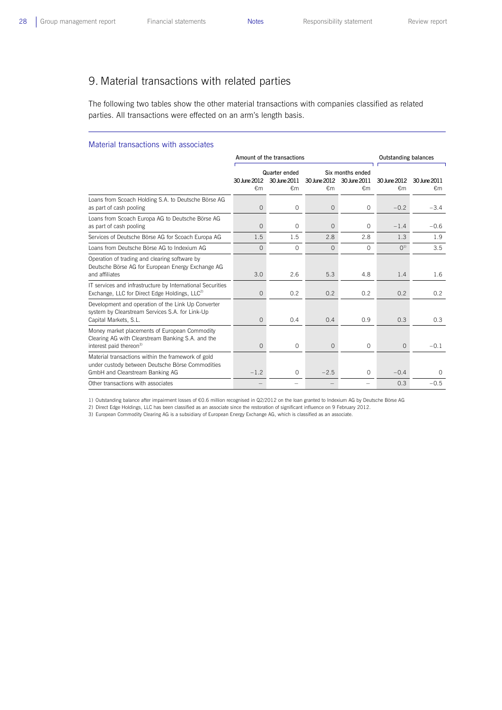$\overline{a}$ 

## 9. Material transactions with related parties

The following two tables show the other material transactions with companies classified as related parties. All transactions were effected on an arm's length basis.

#### Material transactions with associates

|                                                                                                                                           |                | Amount of the transactions        | <b>Outstanding balances</b> |                              |                |              |
|-------------------------------------------------------------------------------------------------------------------------------------------|----------------|-----------------------------------|-----------------------------|------------------------------|----------------|--------------|
|                                                                                                                                           |                | Six months ended<br>Quarter ended |                             |                              |                |              |
|                                                                                                                                           | 30 June 2012   | 30 June 2011                      |                             | 30 June 2012<br>30 June 2011 |                | 30 lune 2011 |
|                                                                                                                                           | ∈m             | $\epsilon$ m                      | $\epsilon$ m                | €m                           | €m             | €m           |
| Loans from Scoach Holding S.A. to Deutsche Börse AG<br>as part of cash pooling                                                            | $\overline{0}$ | $\circ$                           | $\overline{O}$              | $\circ$                      | $-0.2$         | $-3.4$       |
| Loans from Scoach Europa AG to Deutsche Börse AG<br>as part of cash pooling                                                               | $\overline{0}$ | $\Omega$                          | $\Omega$                    | $\Omega$                     | $-1.4$         | $-0.6$       |
| Services of Deutsche Börse AG for Scoach Europa AG                                                                                        | 1.5            | 1.5                               | 2.8                         | 2.8                          | 1.3            | 1.9          |
| Loans from Deutsche Börse AG to Indexium AG                                                                                               | $\Omega$       | $\circ$                           | 0                           | $\Omega$                     | O <sup>1</sup> | 3.5          |
| Operation of trading and clearing software by<br>Deutsche Börse AG for European Energy Exchange AG<br>and affiliates                      | 3.0            | 2.6                               | 5.3                         | 4.8                          | 1.4            | 1.6          |
| IT services and infrastructure by International Securities<br>Exchange, LLC for Direct Edge Holdings, LLC <sup>2)</sup>                   | 0              | 0.2                               | 0.2                         | 0.2                          | 0.2            | 0.2          |
| Development and operation of the Link Up Converter<br>system by Clearstream Services S.A. for Link-Up<br>Capital Markets, S.L.            | 0              | 0.4                               | 0.4                         | 0.9                          | 0.3            | 0.3          |
| Money market placements of European Commodity<br>Clearing AG with Clearstream Banking S.A. and the<br>interest paid thereon <sup>3)</sup> | $\Omega$       | $\circ$                           | $\Omega$                    | $\Omega$                     | $\Omega$       | $-0.1$       |
| Material transactions within the framework of gold<br>under custody between Deutsche Börse Commodities<br>GmbH and Clearstream Banking AG | $-1.2$         | $\circ$                           | $-2.5$                      | $\Omega$                     | $-0.4$         | $\Omega$     |
| Other transactions with associates                                                                                                        |                |                                   |                             |                              | 0.3            | $-0.5$       |

1) Outstanding balance after impairment losses of €0.6 million recognised in Q2/2012 on the loan granted to Indexium AG by Deutsche Börse AG

2) Direct Edge Holdings, LLC has been classified as an associate since the restoration of significant influence on 9 February 2012.

3) European Commodity Clearing AG is a subsidiary of European Energy Exchange AG, which is classified as an associate.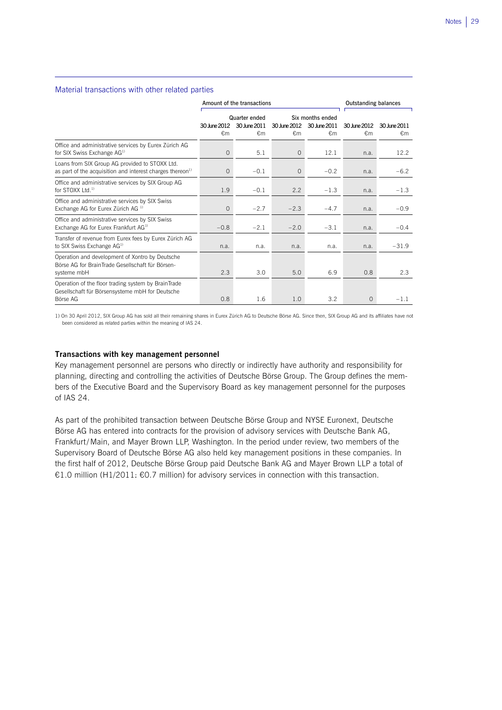### Material transactions with other related parties

 $\overline{a}$ 

|                                                                                                                         | Amount of the transactions |                                     |                    |                                        | <b>Outstanding balances</b> |                    |  |
|-------------------------------------------------------------------------------------------------------------------------|----------------------------|-------------------------------------|--------------------|----------------------------------------|-----------------------------|--------------------|--|
|                                                                                                                         | 30 June 2012<br>€m         | Quarter ended<br>30 June 2011<br>€m | 30 June 2012<br>€m | Six months ended<br>30 June 2011<br>€m | 30 June 2012<br>€m          | 30 June 2011<br>€m |  |
| Office and administrative services by Eurex Zürich AG<br>for SIX Swiss Exchange AG <sup>1)</sup>                        | $\circ$                    | 5.1                                 | $\circ$            | 12.1                                   | n.a.                        | 12.2               |  |
| Loans from SIX Group AG provided to STOXX Ltd.<br>as part of the acquisition and interest charges thereon <sup>1)</sup> | $\Omega$                   | $-0.1$                              | $\circ$            | $-0.2$                                 | n.a.                        | $-6.2$             |  |
| Office and administrative services by SIX Group AG<br>for STOXX $1$ td. <sup>1)</sup>                                   | 1.9                        | $-0.1$                              | 2.2                | $-1.3$                                 | n.a.                        | $-1.3$             |  |
| Office and administrative services by SIX Swiss<br>Exchange AG for Eurex Zürich AG <sup>1)</sup>                        | $\overline{O}$             | $-2.7$                              | $-2.3$             | $-4.7$                                 | n.a.                        | $-0.9$             |  |
| Office and administrative services by SIX Swiss<br>Exchange AG for Eurex Frankfurt AG <sup>1)</sup>                     | $-0.8$                     | $-2.1$                              | $-2.0$             | $-3.1$                                 | n.a.                        | $-0.4$             |  |
| Transfer of revenue from Eurex fees by Eurex Zürich AG<br>to SIX Swiss Exchange AG <sup>1)</sup>                        | n.a.                       | n.a.                                | n.a.               | n.a.                                   | n.a.                        | $-31.9$            |  |
| Operation and development of Xontro by Deutsche<br>Börse AG for BrainTrade Gesellschaft für Börsen-<br>systeme mbH      | 2.3                        | 3.0                                 | 5.0                | 6.9                                    | 0.8                         | 2.3                |  |
| Operation of the floor trading system by BrainTrade<br>Gesellschaft für Börsensysteme mbH for Deutsche<br>Börse AG      | 0.8                        | 1.6                                 | 1.0                | 3.2                                    | $\mathbf{O}$                | $-1.1$             |  |

1) On 30 April 2012, SIX Group AG has sold all their remaining shares in Eurex Zürich AG to Deutsche Börse AG. Since then, SIX Group AG and its affiliates have not been considered as related parties within the meaning of IAS 24.

### **Transactions with key management personnel**

Key management personnel are persons who directly or indirectly have authority and responsibility for planning, directing and controlling the activities of Deutsche Börse Group. The Group defines the members of the Executive Board and the Supervisory Board as key management personnel for the purposes of IAS 24.

As part of the prohibited transaction between Deutsche Börse Group and NYSE Euronext, Deutsche Börse AG has entered into contracts for the provision of advisory services with Deutsche Bank AG, Frankfurt/Main, and Mayer Brown LLP, Washington. In the period under review, two members of the Supervisory Board of Deutsche Börse AG also held key management positions in these companies. In the first half of 2012, Deutsche Börse Group paid Deutsche Bank AG and Mayer Brown LLP a total of €1.0 million (H1/2011: €0.7 million) for advisory services in connection with this transaction.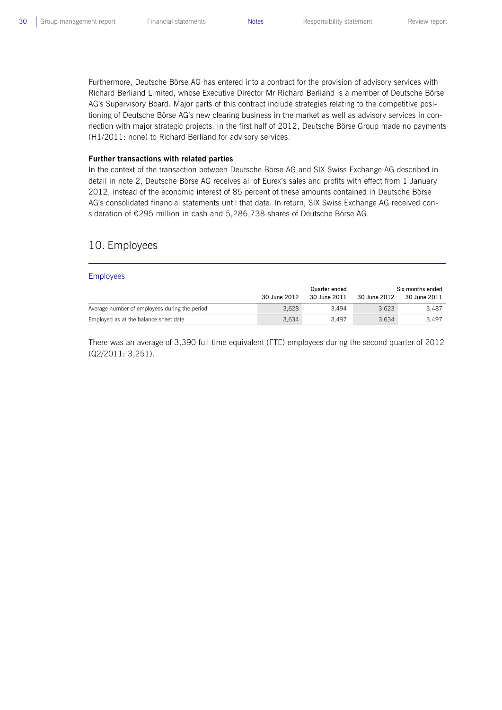Furthermore, Deutsche Börse AG has entered into a contract for the provision of advisory services with Richard Berliand Limited, whose Executive Director Mr Richard Berliand is a member of Deutsche Börse AG's Supervisory Board. Major parts of this contract include strategies relating to the competitive positioning of Deutsche Börse AG's new clearing business in the market as well as advisory services in connection with major strategic projects. In the first half of 2012, Deutsche Börse Group made no payments (H1/2011: none) to Richard Berliand for advisory services.

#### **Further transactions with related parties**

In the context of the transaction between Deutsche Börse AG and SIX Swiss Exchange AG described in detail in note 2, Deutsche Börse AG receives all of Eurex's sales and profits with effect from 1 January 2012, instead of the economic interest of 85 percent of these amounts contained in Deutsche Börse AG's consolidated financial statements until that date. In return, SIX Swiss Exchange AG received consideration of €295 million in cash and 5,286,738 shares of Deutsche Börse AG.

## 10. Employees

#### Employees

|                                               | 30 June 2012 | Quarter ended<br>30 June 2011 | 30 June 2012 | Six months ended<br>30 June 2011 |
|-----------------------------------------------|--------------|-------------------------------|--------------|----------------------------------|
| Average number of employees during the period | 3.628        | 3.494                         | 3.623        | 3.487                            |
| Employed as at the balance sheet date         | 3.634        | 3.497                         | 3.634        | 3.497                            |

There was an average of 3,390 full-time equivalent (FTE) employees during the second quarter of 2012 (Q2/2011: 3,251).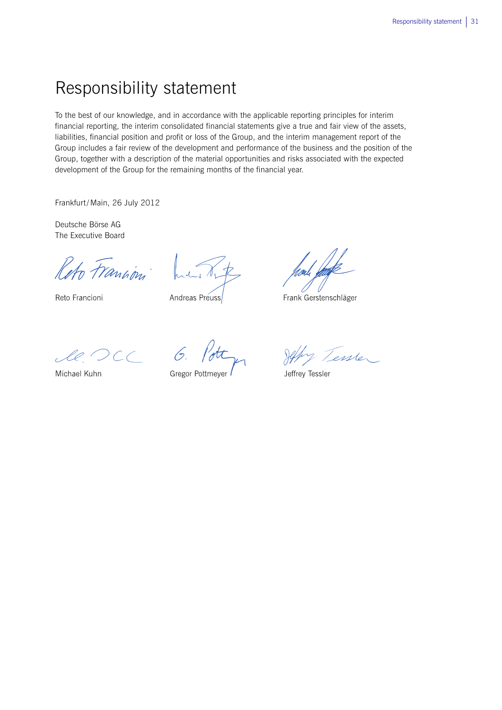## Responsibility statement

To the best of our knowledge, and in accordance with the applicable reporting principles for interim financial reporting, the interim consolidated financial statements give a true and fair view of the assets, liabilities, financial position and profit or loss of the Group, and the interim management report of the Group includes a fair review of the development and performance of the business and the position of the Group, together with a description of the material opportunities and risks associated with the expected development of the Group for the remaining months of the financial year.

Frankfurt/Main, 26 July 2012

Deutsche Börse AG The Executive Board

Reto Francini

Reto Francioni

Andreas Preuss

Frank Gerstenschläger

le DCC 6.

Michael Kuhn

Gregor Pottmeyer

Jeffy Tessler

Jeffrey Tessler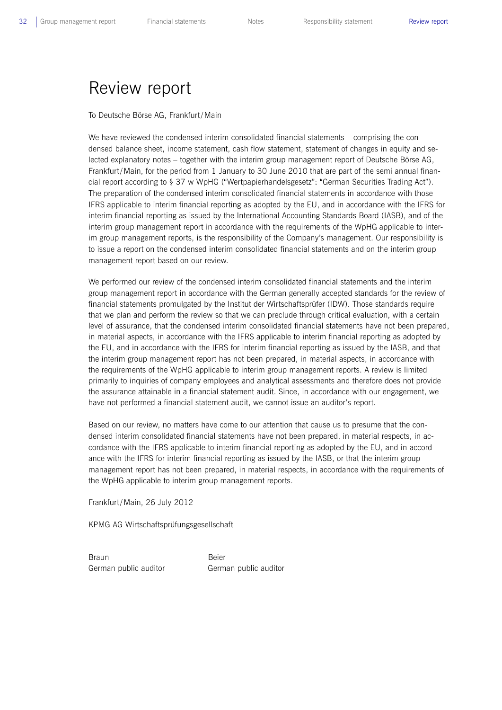## Review report

To Deutsche Börse AG, Frankfurt/Main

We have reviewed the condensed interim consolidated financial statements – comprising the condensed balance sheet, income statement, cash flow statement, statement of changes in equity and selected explanatory notes – together with the interim group management report of Deutsche Börse AG, Frankfurt/Main, for the period from 1 January to 30 June 2010 that are part of the semi annual financial report according to § 37 w WpHG ("Wertpapierhandelsgesetz": "German Securities Trading Act"). The preparation of the condensed interim consolidated financial statements in accordance with those IFRS applicable to interim financial reporting as adopted by the EU, and in accordance with the IFRS for interim financial reporting as issued by the International Accounting Standards Board (IASB), and of the interim group management report in accordance with the requirements of the WpHG applicable to interim group management reports, is the responsibility of the Company's management. Our responsibility is to issue a report on the condensed interim consolidated financial statements and on the interim group management report based on our review.

We performed our review of the condensed interim consolidated financial statements and the interim group management report in accordance with the German generally accepted standards for the review of financial statements promulgated by the Institut der Wirtschaftsprüfer (IDW). Those standards require that we plan and perform the review so that we can preclude through critical evaluation, with a certain level of assurance, that the condensed interim consolidated financial statements have not been prepared, in material aspects, in accordance with the IFRS applicable to interim financial reporting as adopted by the EU, and in accordance with the IFRS for interim financial reporting as issued by the IASB, and that the interim group management report has not been prepared, in material aspects, in accordance with the requirements of the WpHG applicable to interim group management reports. A review is limited primarily to inquiries of company employees and analytical assessments and therefore does not provide the assurance attainable in a financial statement audit. Since, in accordance with our engagement, we have not performed a financial statement audit, we cannot issue an auditor's report.

Based on our review, no matters have come to our attention that cause us to presume that the condensed interim consolidated financial statements have not been prepared, in material respects, in accordance with the IFRS applicable to interim financial reporting as adopted by the EU, and in accordance with the IFRS for interim financial reporting as issued by the IASB, or that the interim group management report has not been prepared, in material respects, in accordance with the requirements of the WpHG applicable to interim group management reports.

Frankfurt/Main, 26 July 2012

KPMG AG Wirtschaftsprüfungsgesellschaft

Braun **Beier** German public auditor German public auditor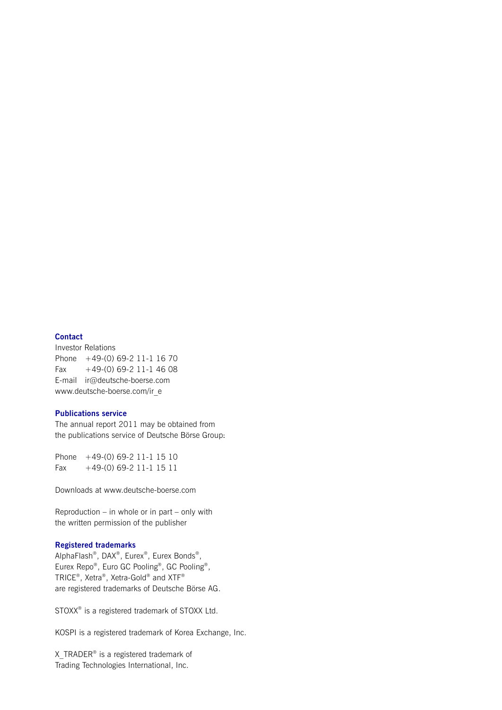## **Contact**

Investor Relations Phone +49-(0) 69-2 11-1 16 70 Fax  $+49-(0)$  69-2 11-1 46 08 E-mail ir@deutsche-boerse.com www.deutsche-boerse.com/ir\_e

## **Publications service**

The annual report 2011 may be obtained from the publications service of Deutsche Börse Group:

Phone +49-(0) 69-2 11-1 15 10 Fax +49-(0) 69-2 11-1 15 11

Downloads at www.deutsche-boerse.com

Reproduction – in whole or in part – only with the written permission of the publisher

### **Registered trademarks**

AlphaFlash®, DAX®, Eurex®, Eurex Bonds®, Eurex Repo®, Euro GC Pooling®, GC Pooling®, TRICE®, Xetra®, Xetra-Gold® and XTF® are registered trademarks of Deutsche Börse AG.

STOXX® is a registered trademark of STOXX Ltd.

KOSPI is a registered trademark of Korea Exchange, Inc.

X TRADER® is a registered trademark of Trading Technologies International, Inc.